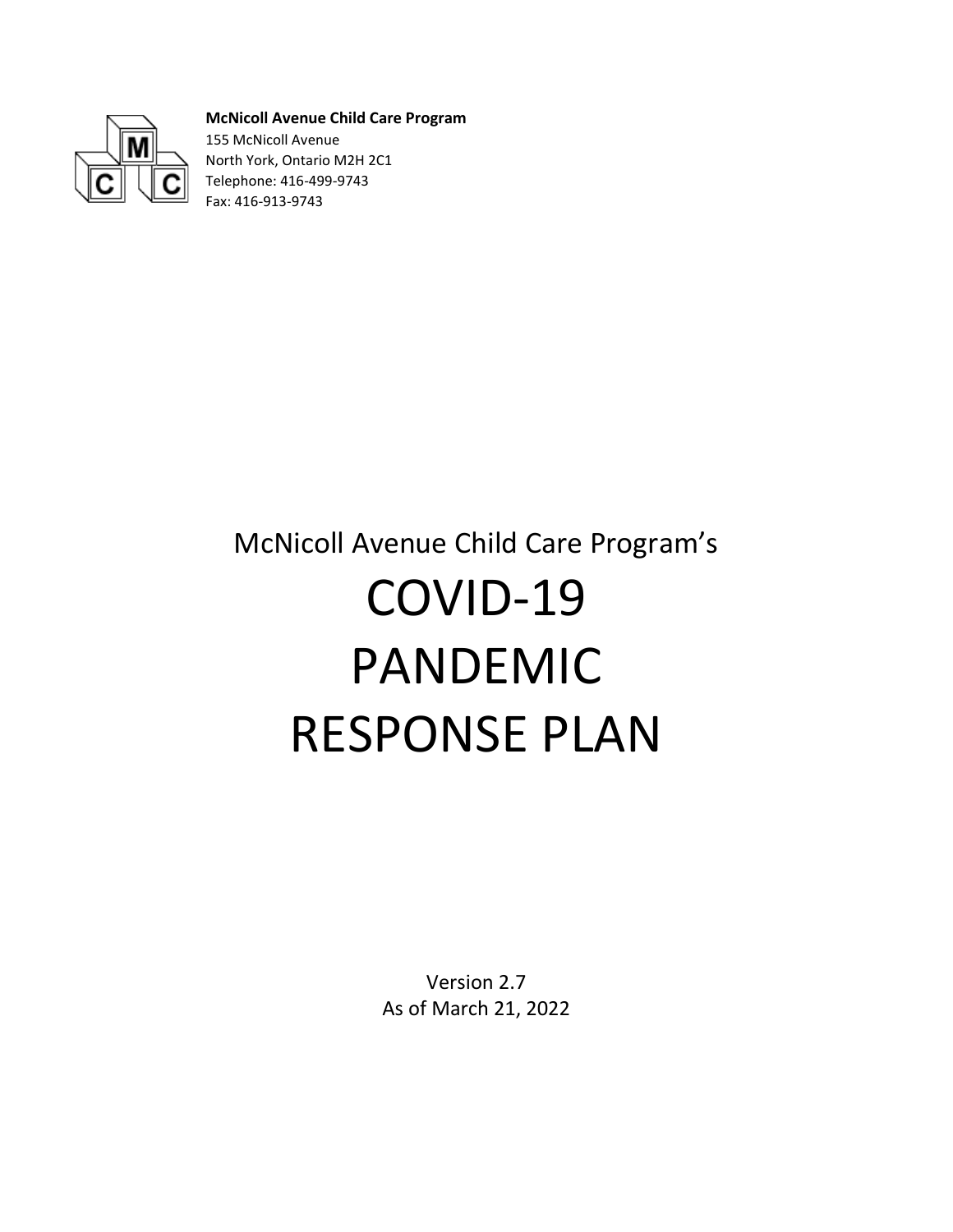

**McNicoll Avenue Child Care Program** 155 McNicoll Avenue North York, Ontario M2H 2C1 Telephone: 416-499-9743 Fax: 416-913-9743

# McNicoll Avenue Child Care Program's COVID-19 PANDEMIC RESPONSE PLAN

Version 2.7 As of March 21, 2022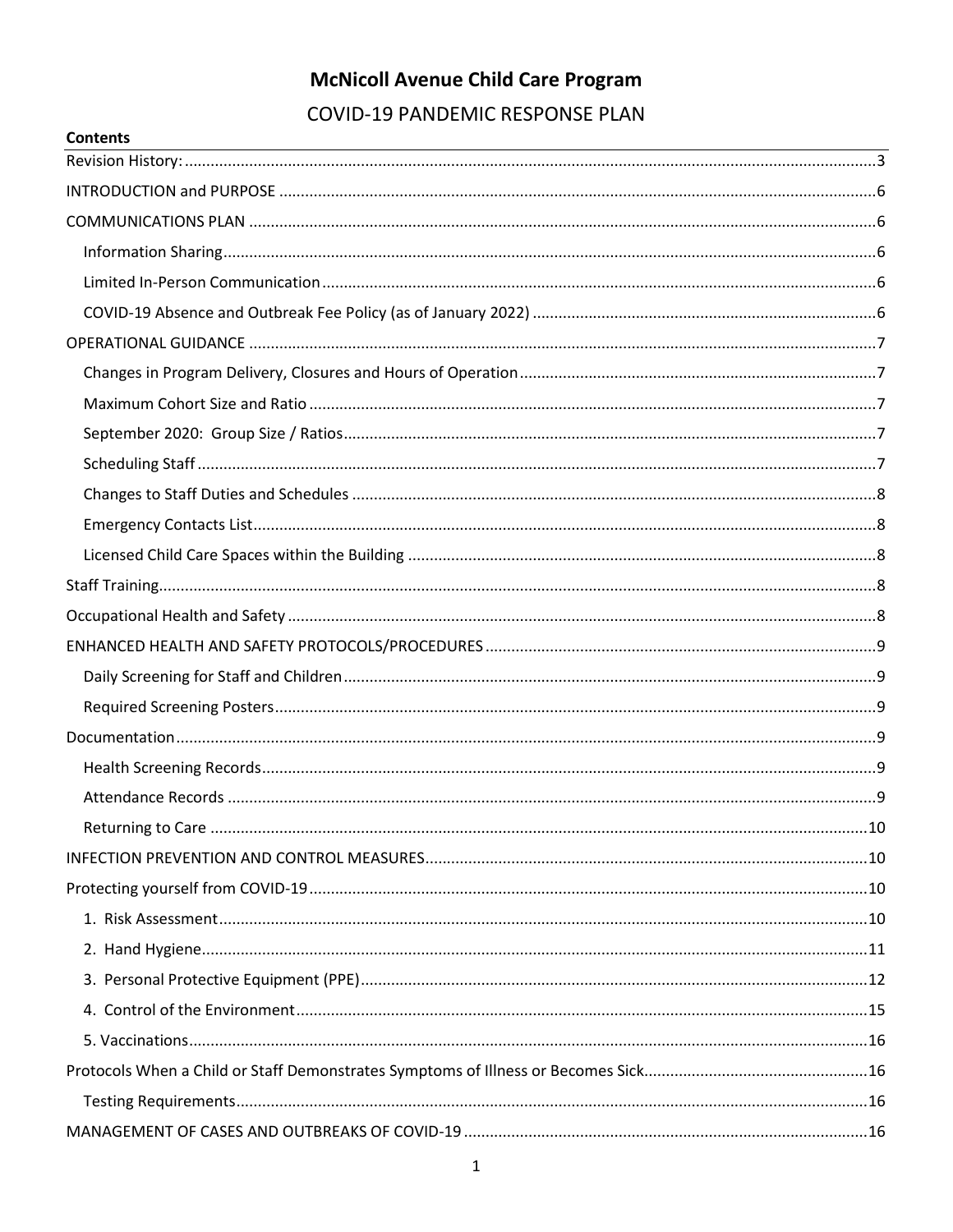# **McNicoll Avenue Child Care Program**

**COVID-19 PANDEMIC RESPONSE PLAN** 

**Contents**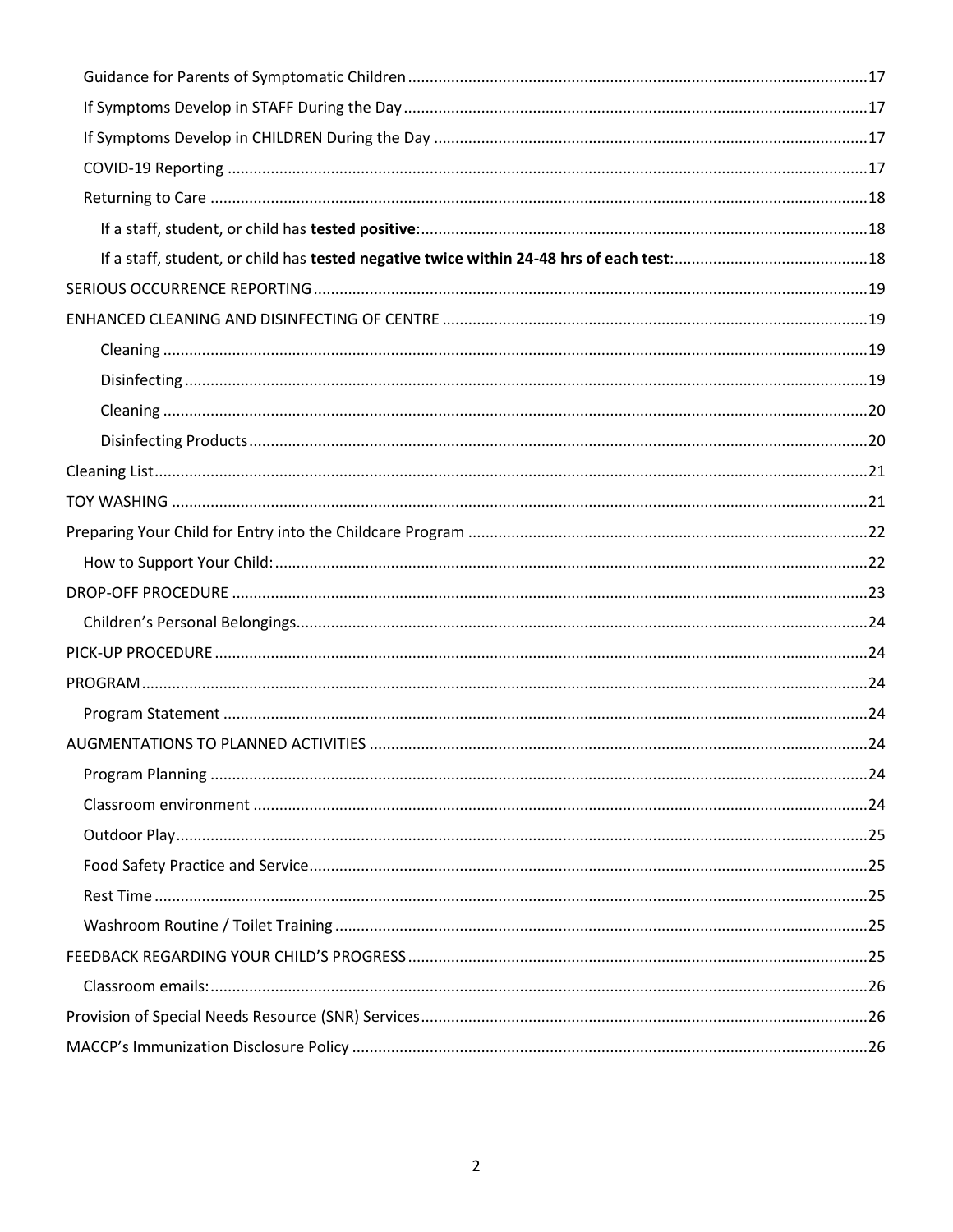<span id="page-2-0"></span>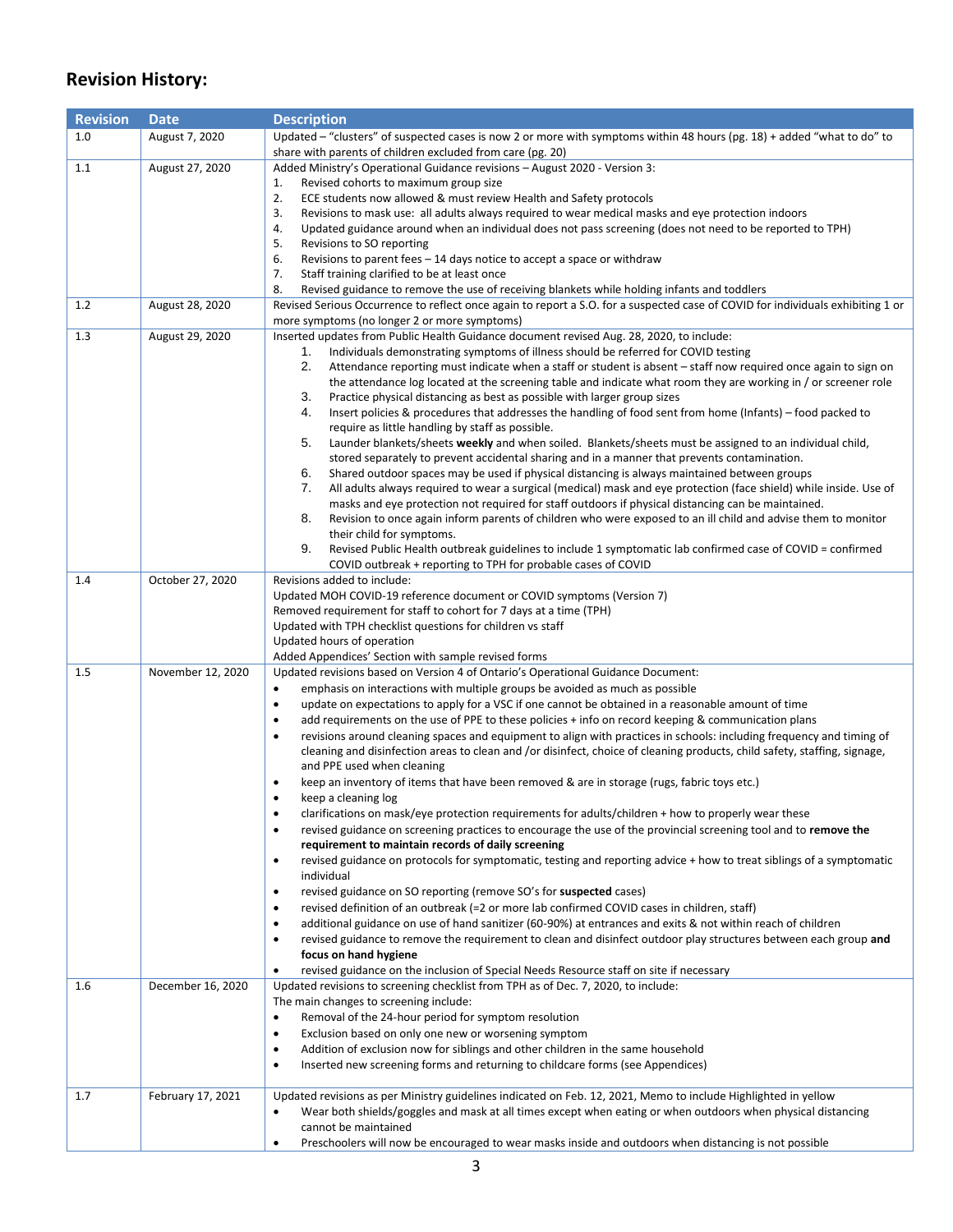# **Revision History:**

| <b>Revision</b> | <b>Date</b>       | <b>Description</b>                                                                                                                                                                      |  |
|-----------------|-------------------|-----------------------------------------------------------------------------------------------------------------------------------------------------------------------------------------|--|
| 1.0             | August 7, 2020    | Updated - "clusters" of suspected cases is now 2 or more with symptoms within 48 hours (pg. 18) + added "what to do" to                                                                 |  |
|                 |                   | share with parents of children excluded from care (pg. 20)                                                                                                                              |  |
| 1.1             | August 27, 2020   | Added Ministry's Operational Guidance revisions - August 2020 - Version 3:                                                                                                              |  |
|                 |                   | Revised cohorts to maximum group size<br>1.                                                                                                                                             |  |
|                 |                   | 2.<br>ECE students now allowed & must review Health and Safety protocols<br>3.<br>Revisions to mask use: all adults always required to wear medical masks and eye protection indoors    |  |
|                 |                   | 4.<br>Updated guidance around when an individual does not pass screening (does not need to be reported to TPH)                                                                          |  |
|                 |                   | 5.<br>Revisions to SO reporting                                                                                                                                                         |  |
|                 |                   | 6.<br>Revisions to parent fees $-14$ days notice to accept a space or withdraw                                                                                                          |  |
|                 |                   | 7.<br>Staff training clarified to be at least once                                                                                                                                      |  |
|                 |                   | 8.<br>Revised guidance to remove the use of receiving blankets while holding infants and toddlers                                                                                       |  |
| 1.2             | August 28, 2020   | Revised Serious Occurrence to reflect once again to report a S.O. for a suspected case of COVID for individuals exhibiting 1 or                                                         |  |
|                 |                   | more symptoms (no longer 2 or more symptoms)                                                                                                                                            |  |
| 1.3             | August 29, 2020   | Inserted updates from Public Health Guidance document revised Aug. 28, 2020, to include:                                                                                                |  |
|                 |                   | Individuals demonstrating symptoms of illness should be referred for COVID testing<br>1.                                                                                                |  |
|                 |                   | 2.<br>Attendance reporting must indicate when a staff or student is absent - staff now required once again to sign on                                                                   |  |
|                 |                   | the attendance log located at the screening table and indicate what room they are working in / or screener role                                                                         |  |
|                 |                   | 3.<br>Practice physical distancing as best as possible with larger group sizes<br>4.                                                                                                    |  |
|                 |                   | Insert policies & procedures that addresses the handling of food sent from home (Infants) – food packed to<br>require as little handling by staff as possible.                          |  |
|                 |                   | 5.<br>Launder blankets/sheets weekly and when soiled. Blankets/sheets must be assigned to an individual child,                                                                          |  |
|                 |                   | stored separately to prevent accidental sharing and in a manner that prevents contamination.                                                                                            |  |
|                 |                   | 6.<br>Shared outdoor spaces may be used if physical distancing is always maintained between groups                                                                                      |  |
|                 |                   | All adults always required to wear a surgical (medical) mask and eye protection (face shield) while inside. Use of<br>7.                                                                |  |
|                 |                   | masks and eye protection not required for staff outdoors if physical distancing can be maintained.                                                                                      |  |
|                 |                   | 8.<br>Revision to once again inform parents of children who were exposed to an ill child and advise them to monitor                                                                     |  |
|                 |                   | their child for symptoms.                                                                                                                                                               |  |
|                 |                   | 9.<br>Revised Public Health outbreak guidelines to include 1 symptomatic lab confirmed case of COVID = confirmed                                                                        |  |
|                 |                   | COVID outbreak + reporting to TPH for probable cases of COVID                                                                                                                           |  |
| 1.4             | October 27, 2020  | Revisions added to include:                                                                                                                                                             |  |
|                 |                   | Updated MOH COVID-19 reference document or COVID symptoms (Version 7)                                                                                                                   |  |
|                 |                   | Removed requirement for staff to cohort for 7 days at a time (TPH)<br>Updated with TPH checklist questions for children vs staff                                                        |  |
|                 |                   | Updated hours of operation                                                                                                                                                              |  |
|                 |                   | Added Appendices' Section with sample revised forms                                                                                                                                     |  |
| 1.5             | November 12, 2020 | Updated revisions based on Version 4 of Ontario's Operational Guidance Document:                                                                                                        |  |
|                 |                   | $\bullet$<br>emphasis on interactions with multiple groups be avoided as much as possible                                                                                               |  |
|                 |                   | update on expectations to apply for a VSC if one cannot be obtained in a reasonable amount of time<br>$\bullet$                                                                         |  |
|                 |                   | add requirements on the use of PPE to these policies + info on record keeping & communication plans<br>$\bullet$                                                                        |  |
|                 |                   | revisions around cleaning spaces and equipment to align with practices in schools: including frequency and timing of<br>٠                                                               |  |
|                 |                   | cleaning and disinfection areas to clean and /or disinfect, choice of cleaning products, child safety, staffing, signage,                                                               |  |
|                 |                   | and PPE used when cleaning                                                                                                                                                              |  |
|                 |                   | keep an inventory of items that have been removed & are in storage (rugs, fabric toys etc.)<br>٠                                                                                        |  |
|                 |                   | keep a cleaning log<br>$\bullet$                                                                                                                                                        |  |
|                 |                   | clarifications on mask/eye protection requirements for adults/children + how to properly wear these<br>٠                                                                                |  |
|                 |                   | revised guidance on screening practices to encourage the use of the provincial screening tool and to remove the<br>$\bullet$                                                            |  |
|                 |                   | requirement to maintain records of daily screening<br>revised guidance on protocols for symptomatic, testing and reporting advice + how to treat siblings of a symptomatic<br>$\bullet$ |  |
|                 |                   | individual                                                                                                                                                                              |  |
|                 |                   | revised guidance on SO reporting (remove SO's for suspected cases)<br>٠                                                                                                                 |  |
|                 |                   | revised definition of an outbreak (=2 or more lab confirmed COVID cases in children, staff)<br>٠                                                                                        |  |
|                 |                   | additional guidance on use of hand sanitizer (60-90%) at entrances and exits & not within reach of children<br>٠                                                                        |  |
|                 |                   | revised guidance to remove the requirement to clean and disinfect outdoor play structures between each group and<br>٠                                                                   |  |
|                 |                   | focus on hand hygiene                                                                                                                                                                   |  |
|                 |                   | revised guidance on the inclusion of Special Needs Resource staff on site if necessary<br>٠                                                                                             |  |
| 1.6             | December 16, 2020 | Updated revisions to screening checklist from TPH as of Dec. 7, 2020, to include:                                                                                                       |  |
|                 |                   | The main changes to screening include:                                                                                                                                                  |  |
|                 |                   | Removal of the 24-hour period for symptom resolution<br>$\bullet$                                                                                                                       |  |
|                 |                   | Exclusion based on only one new or worsening symptom<br>٠                                                                                                                               |  |
|                 |                   | Addition of exclusion now for siblings and other children in the same household<br>$\bullet$                                                                                            |  |
|                 |                   | Inserted new screening forms and returning to childcare forms (see Appendices)<br>$\bullet$                                                                                             |  |
|                 |                   |                                                                                                                                                                                         |  |
| 1.7             | February 17, 2021 | Updated revisions as per Ministry guidelines indicated on Feb. 12, 2021, Memo to include Highlighted in yellow                                                                          |  |
|                 |                   | Wear both shields/goggles and mask at all times except when eating or when outdoors when physical distancing<br>٠<br>cannot be maintained                                               |  |
|                 |                   | Preschoolers will now be encouraged to wear masks inside and outdoors when distancing is not possible<br>$\bullet$                                                                      |  |
|                 |                   |                                                                                                                                                                                         |  |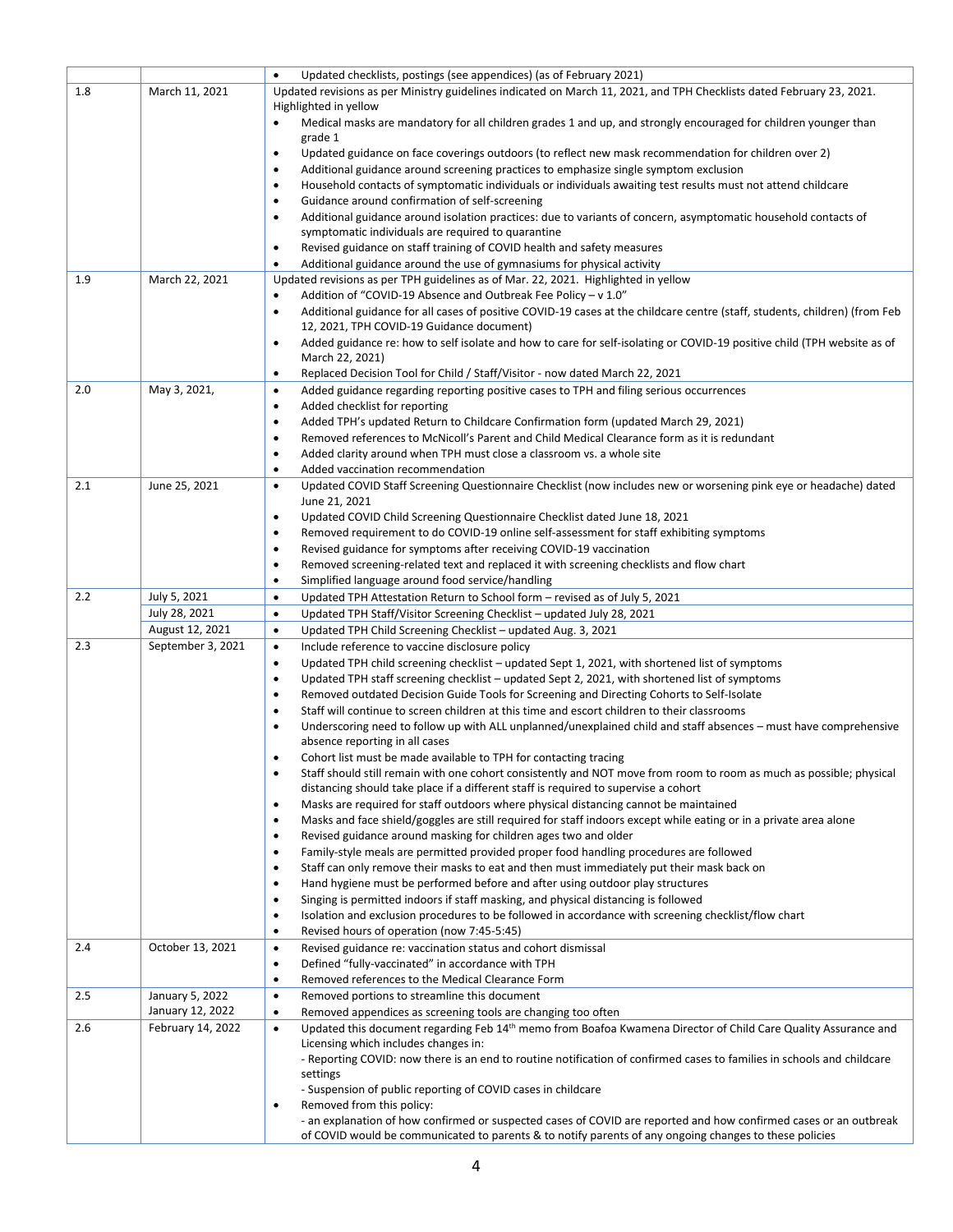|     |                                     | Updated checklists, postings (see appendices) (as of February 2021)<br>$\bullet$                                                                                                                                                          |  |  |
|-----|-------------------------------------|-------------------------------------------------------------------------------------------------------------------------------------------------------------------------------------------------------------------------------------------|--|--|
| 1.8 | March 11, 2021                      | Updated revisions as per Ministry guidelines indicated on March 11, 2021, and TPH Checklists dated February 23, 2021.<br>Highlighted in yellow                                                                                            |  |  |
|     |                                     | Medical masks are mandatory for all children grades 1 and up, and strongly encouraged for children younger than<br>$\bullet$<br>grade 1                                                                                                   |  |  |
|     |                                     | Updated guidance on face coverings outdoors (to reflect new mask recommendation for children over 2)<br>$\bullet$                                                                                                                         |  |  |
|     |                                     | Additional guidance around screening practices to emphasize single symptom exclusion<br>$\bullet$                                                                                                                                         |  |  |
|     |                                     | Household contacts of symptomatic individuals or individuals awaiting test results must not attend childcare<br>$\bullet$                                                                                                                 |  |  |
|     |                                     | Guidance around confirmation of self-screening<br>$\bullet$                                                                                                                                                                               |  |  |
|     |                                     | Additional guidance around isolation practices: due to variants of concern, asymptomatic household contacts of<br>$\bullet$<br>symptomatic individuals are required to quarantine                                                         |  |  |
|     |                                     | Revised guidance on staff training of COVID health and safety measures<br>$\bullet$                                                                                                                                                       |  |  |
|     |                                     | Additional guidance around the use of gymnasiums for physical activity<br>$\bullet$                                                                                                                                                       |  |  |
| 1.9 | March 22, 2021                      | Updated revisions as per TPH guidelines as of Mar. 22, 2021. Highlighted in yellow                                                                                                                                                        |  |  |
|     |                                     | Addition of "COVID-19 Absence and Outbreak Fee Policy - v 1.0"<br>$\bullet$                                                                                                                                                               |  |  |
|     |                                     | Additional guidance for all cases of positive COVID-19 cases at the childcare centre (staff, students, children) (from Feb<br>$\bullet$                                                                                                   |  |  |
|     |                                     | 12, 2021, TPH COVID-19 Guidance document)<br>Added guidance re: how to self isolate and how to care for self-isolating or COVID-19 positive child (TPH website as of<br>$\bullet$                                                         |  |  |
|     |                                     | March 22, 2021)                                                                                                                                                                                                                           |  |  |
| 2.0 | May 3, 2021,                        | Replaced Decision Tool for Child / Staff/Visitor - now dated March 22, 2021<br>$\bullet$<br>Added guidance regarding reporting positive cases to TPH and filing serious occurrences<br>$\bullet$                                          |  |  |
|     |                                     | Added checklist for reporting<br>$\bullet$                                                                                                                                                                                                |  |  |
|     |                                     | Added TPH's updated Return to Childcare Confirmation form (updated March 29, 2021)<br>$\bullet$                                                                                                                                           |  |  |
|     |                                     | Removed references to McNicoll's Parent and Child Medical Clearance form as it is redundant<br>$\bullet$                                                                                                                                  |  |  |
|     |                                     | Added clarity around when TPH must close a classroom vs. a whole site<br>$\bullet$                                                                                                                                                        |  |  |
|     |                                     | Added vaccination recommendation<br>$\bullet$                                                                                                                                                                                             |  |  |
| 2.1 | June 25, 2021                       | Updated COVID Staff Screening Questionnaire Checklist (now includes new or worsening pink eye or headache) dated<br>$\bullet$<br>June 21, 2021                                                                                            |  |  |
|     |                                     | Updated COVID Child Screening Questionnaire Checklist dated June 18, 2021<br>$\bullet$                                                                                                                                                    |  |  |
|     |                                     | Removed requirement to do COVID-19 online self-assessment for staff exhibiting symptoms<br>$\bullet$                                                                                                                                      |  |  |
|     |                                     | Revised guidance for symptoms after receiving COVID-19 vaccination<br>$\bullet$                                                                                                                                                           |  |  |
|     |                                     | Removed screening-related text and replaced it with screening checklists and flow chart<br>$\bullet$                                                                                                                                      |  |  |
| 2.2 | July 5, 2021                        | Simplified language around food service/handling<br>$\bullet$<br>$\bullet$                                                                                                                                                                |  |  |
|     | July 28, 2021                       | Updated TPH Attestation Return to School form – revised as of July 5, 2021<br>Updated TPH Staff/Visitor Screening Checklist – updated July 28, 2021<br>$\bullet$                                                                          |  |  |
|     | August 12, 2021                     | Updated TPH Child Screening Checklist - updated Aug. 3, 2021<br>$\bullet$                                                                                                                                                                 |  |  |
| 2.3 | September 3, 2021                   | Include reference to vaccine disclosure policy<br>$\bullet$                                                                                                                                                                               |  |  |
|     |                                     | Updated TPH child screening checklist – updated Sept 1, 2021, with shortened list of symptoms<br>$\bullet$                                                                                                                                |  |  |
|     |                                     | Updated TPH staff screening checklist - updated Sept 2, 2021, with shortened list of symptoms<br>$\bullet$                                                                                                                                |  |  |
|     |                                     | Removed outdated Decision Guide Tools for Screening and Directing Cohorts to Self-Isolate<br>$\bullet$                                                                                                                                    |  |  |
|     |                                     | Staff will continue to screen children at this time and escort children to their classrooms<br>$\bullet$<br>Underscoring need to follow up with ALL unplanned/unexplained child and staff absences – must have comprehensive<br>$\bullet$ |  |  |
|     |                                     | absence reporting in all cases                                                                                                                                                                                                            |  |  |
|     |                                     | Cohort list must be made available to TPH for contacting tracing<br>٠                                                                                                                                                                     |  |  |
|     |                                     | Staff should still remain with one cohort consistently and NOT move from room to room as much as possible; physical<br>$\bullet$                                                                                                          |  |  |
|     |                                     | distancing should take place if a different staff is required to supervise a cohort                                                                                                                                                       |  |  |
|     |                                     | Masks are required for staff outdoors where physical distancing cannot be maintained<br>٠<br>Masks and face shield/goggles are still required for staff indoors except while eating or in a private area alone<br>$\bullet$               |  |  |
|     |                                     | Revised guidance around masking for children ages two and older<br>$\bullet$                                                                                                                                                              |  |  |
|     |                                     | Family-style meals are permitted provided proper food handling procedures are followed<br>$\bullet$                                                                                                                                       |  |  |
|     |                                     | Staff can only remove their masks to eat and then must immediately put their mask back on<br>$\bullet$                                                                                                                                    |  |  |
|     |                                     | Hand hygiene must be performed before and after using outdoor play structures<br>$\bullet$                                                                                                                                                |  |  |
|     |                                     | Singing is permitted indoors if staff masking, and physical distancing is followed<br>٠<br>Isolation and exclusion procedures to be followed in accordance with screening checklist/flow chart                                            |  |  |
|     |                                     | ٠<br>Revised hours of operation (now 7:45-5:45)<br>$\bullet$                                                                                                                                                                              |  |  |
| 2.4 |                                     |                                                                                                                                                                                                                                           |  |  |
|     | October 13, 2021                    | Revised guidance re: vaccination status and cohort dismissal<br>$\bullet$                                                                                                                                                                 |  |  |
|     |                                     | Defined "fully-vaccinated" in accordance with TPH<br>$\bullet$                                                                                                                                                                            |  |  |
|     |                                     | Removed references to the Medical Clearance Form<br>$\bullet$                                                                                                                                                                             |  |  |
| 2.5 | January 5, 2022<br>January 12, 2022 | Removed portions to streamline this document<br>$\bullet$<br>Removed appendices as screening tools are changing too often<br>$\bullet$                                                                                                    |  |  |
| 2.6 | February 14, 2022                   | Updated this document regarding Feb 14 <sup>th</sup> memo from Boafoa Kwamena Director of Child Care Quality Assurance and<br>$\bullet$                                                                                                   |  |  |
|     |                                     | Licensing which includes changes in:                                                                                                                                                                                                      |  |  |
|     |                                     | - Reporting COVID: now there is an end to routine notification of confirmed cases to families in schools and childcare                                                                                                                    |  |  |
|     |                                     | settings<br>- Suspension of public reporting of COVID cases in childcare                                                                                                                                                                  |  |  |
|     |                                     | Removed from this policy:<br>$\bullet$                                                                                                                                                                                                    |  |  |
|     |                                     | - an explanation of how confirmed or suspected cases of COVID are reported and how confirmed cases or an outbreak<br>of COVID would be communicated to parents & to notify parents of any ongoing changes to these policies               |  |  |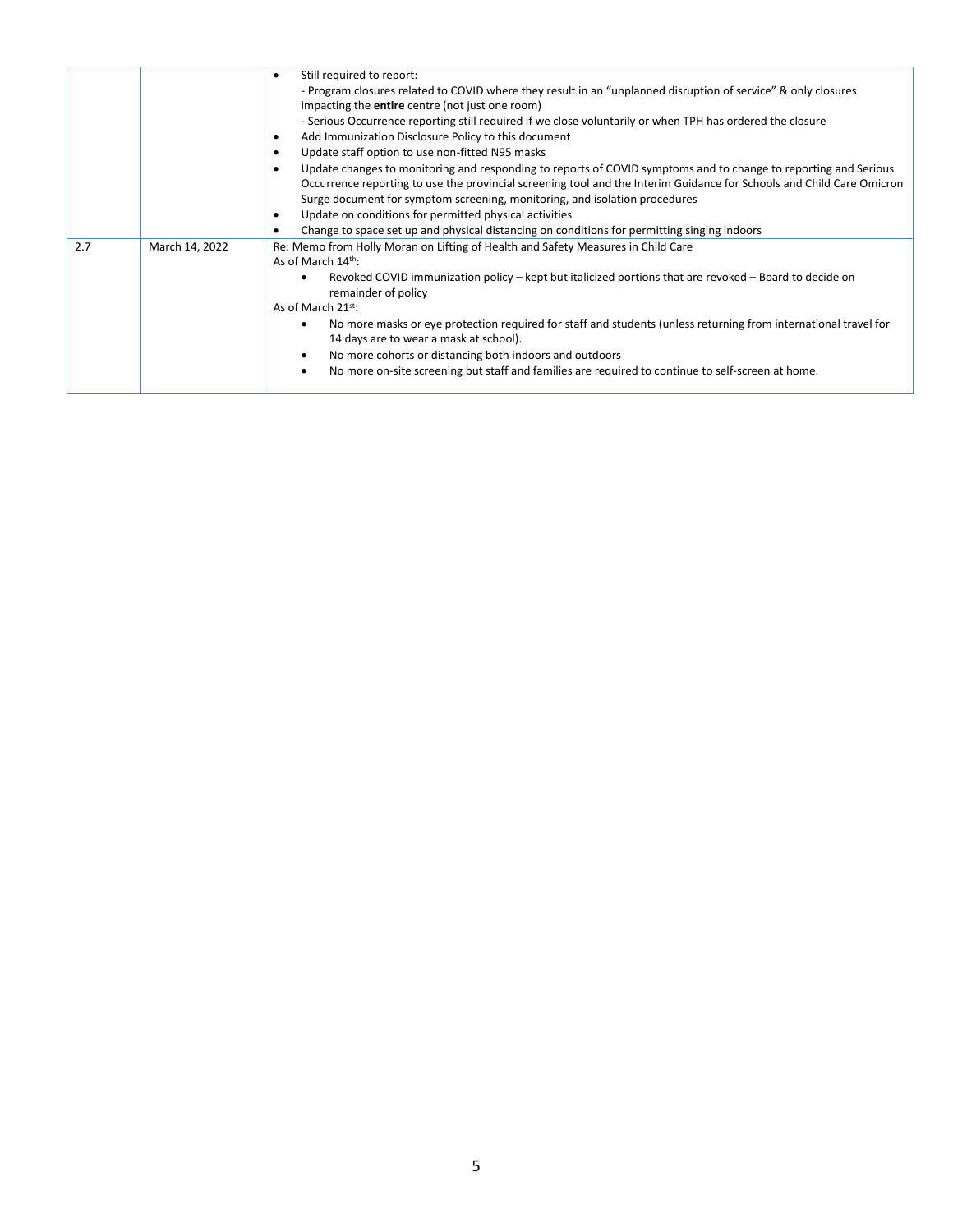|     |                | Still required to report:<br>$\bullet$<br>- Program closures related to COVID where they result in an "unplanned disruption of service" & only closures<br>impacting the <b>entire</b> centre (not just one room)<br>- Serious Occurrence reporting still required if we close voluntarily or when TPH has ordered the closure<br>Add Immunization Disclosure Policy to this document<br>$\bullet$<br>Update staff option to use non-fitted N95 masks<br>$\bullet$<br>Update changes to monitoring and responding to reports of COVID symptoms and to change to reporting and Serious<br>$\bullet$<br>Occurrence reporting to use the provincial screening tool and the Interim Guidance for Schools and Child Care Omicron<br>Surge document for symptom screening, monitoring, and isolation procedures<br>Update on conditions for permitted physical activities<br>$\bullet$<br>Change to space set up and physical distancing on conditions for permitting singing indoors<br>٠ |
|-----|----------------|--------------------------------------------------------------------------------------------------------------------------------------------------------------------------------------------------------------------------------------------------------------------------------------------------------------------------------------------------------------------------------------------------------------------------------------------------------------------------------------------------------------------------------------------------------------------------------------------------------------------------------------------------------------------------------------------------------------------------------------------------------------------------------------------------------------------------------------------------------------------------------------------------------------------------------------------------------------------------------------|
| 2.7 | March 14, 2022 | Re: Memo from Holly Moran on Lifting of Health and Safety Measures in Child Care<br>As of March 14 <sup>th</sup> :<br>Revoked COVID immunization policy – kept but italicized portions that are revoked – Board to decide on<br>remainder of policy<br>As of March $21^{st}$ :<br>No more masks or eye protection required for staff and students (unless returning from international travel for<br>14 days are to wear a mask at school).<br>No more cohorts or distancing both indoors and outdoors<br>No more on-site screening but staff and families are required to continue to self-screen at home.                                                                                                                                                                                                                                                                                                                                                                          |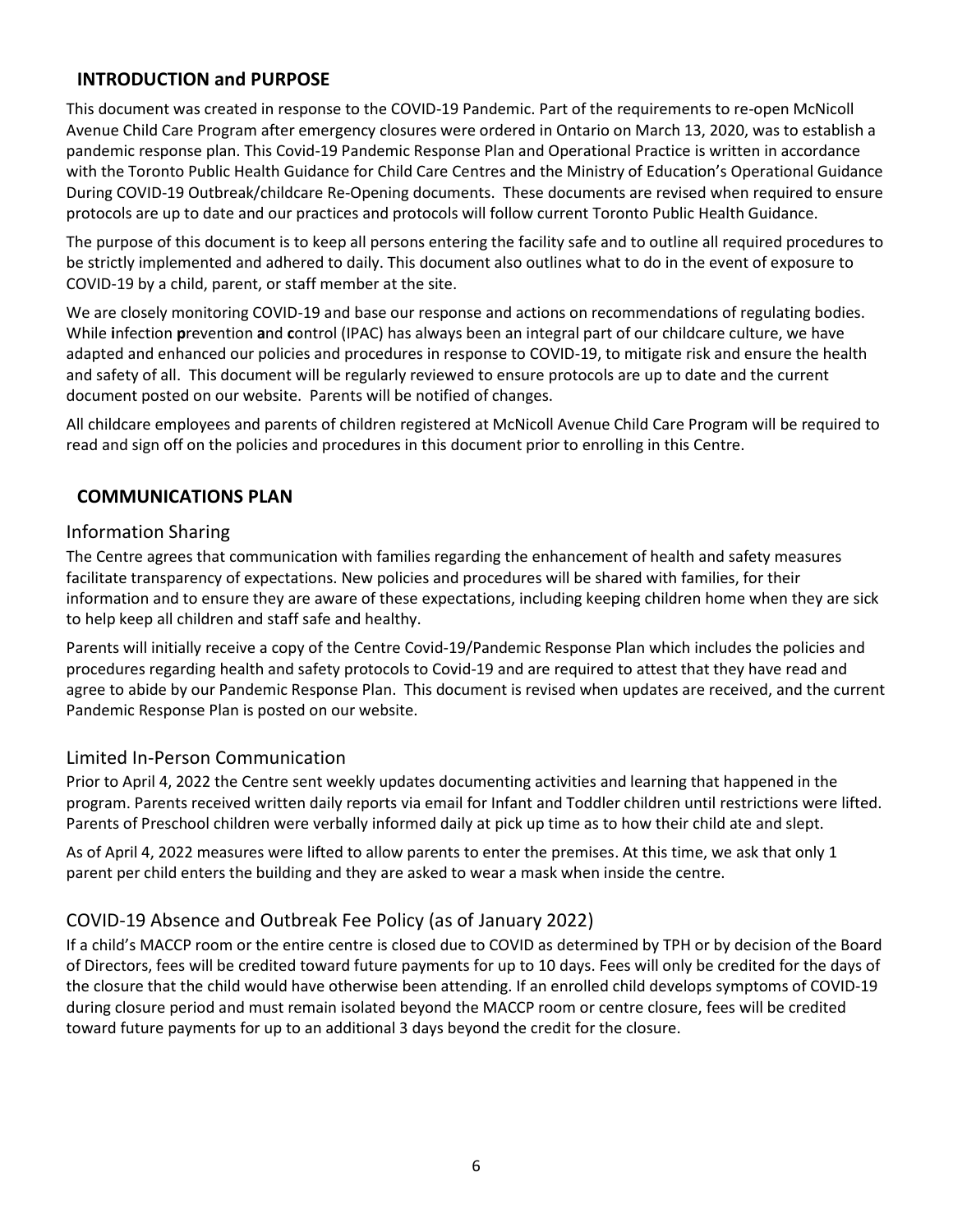## <span id="page-6-0"></span>**INTRODUCTION and PURPOSE**

This document was created in response to the COVID-19 Pandemic. Part of the requirements to re-open McNicoll Avenue Child Care Program after emergency closures were ordered in Ontario on March 13, 2020, was to establish a pandemic response plan. This Covid-19 Pandemic Response Plan and Operational Practice is written in accordance with the Toronto Public Health Guidance for Child Care Centres and the Ministry of Education's Operational Guidance During COVID-19 Outbreak/childcare Re-Opening documents. These documents are revised when required to ensure protocols are up to date and our practices and protocols will follow current Toronto Public Health Guidance.

The purpose of this document is to keep all persons entering the facility safe and to outline all required procedures to be strictly implemented and adhered to daily. This document also outlines what to do in the event of exposure to COVID-19 by a child, parent, or staff member at the site.

We are closely monitoring COVID-19 and base our response and actions on recommendations of regulating bodies. While **i**nfection **p**revention **a**nd **c**ontrol (IPAC) has always been an integral part of our childcare culture, we have adapted and enhanced our policies and procedures in response to COVID-19, to mitigate risk and ensure the health and safety of all. This document will be regularly reviewed to ensure protocols are up to date and the current document posted on our website. Parents will be notified of changes.

All childcare employees and parents of children registered at McNicoll Avenue Child Care Program will be required to read and sign off on the policies and procedures in this document prior to enrolling in this Centre.

## <span id="page-6-1"></span>**COMMUNICATIONS PLAN**

#### <span id="page-6-2"></span>Information Sharing

The Centre agrees that communication with families regarding the enhancement of health and safety measures facilitate transparency of expectations. New policies and procedures will be shared with families, for their information and to ensure they are aware of these expectations, including keeping children home when they are sick to help keep all children and staff safe and healthy.

Parents will initially receive a copy of the Centre Covid-19/Pandemic Response Plan which includes the policies and procedures regarding health and safety protocols to Covid-19 and are required to attest that they have read and agree to abide by our Pandemic Response Plan. This document is revised when updates are received, and the current Pandemic Response Plan is posted on our website.

## <span id="page-6-3"></span>Limited In-Person Communication

Prior to April 4, 2022 the Centre sent weekly updates documenting activities and learning that happened in the program. Parents received written daily reports via email for Infant and Toddler children until restrictions were lifted. Parents of Preschool children were verbally informed daily at pick up time as to how their child ate and slept.

As of April 4, 2022 measures were lifted to allow parents to enter the premises. At this time, we ask that only 1 parent per child enters the building and they are asked to wear a mask when inside the centre.

# <span id="page-6-4"></span>COVID-19 Absence and Outbreak Fee Policy (as of January 2022)

If a child's MACCP room or the entire centre is closed due to COVID as determined by TPH or by decision of the Board of Directors, fees will be credited toward future payments for up to 10 days. Fees will only be credited for the days of the closure that the child would have otherwise been attending. If an enrolled child develops symptoms of COVID-19 during closure period and must remain isolated beyond the MACCP room or centre closure, fees will be credited toward future payments for up to an additional 3 days beyond the credit for the closure.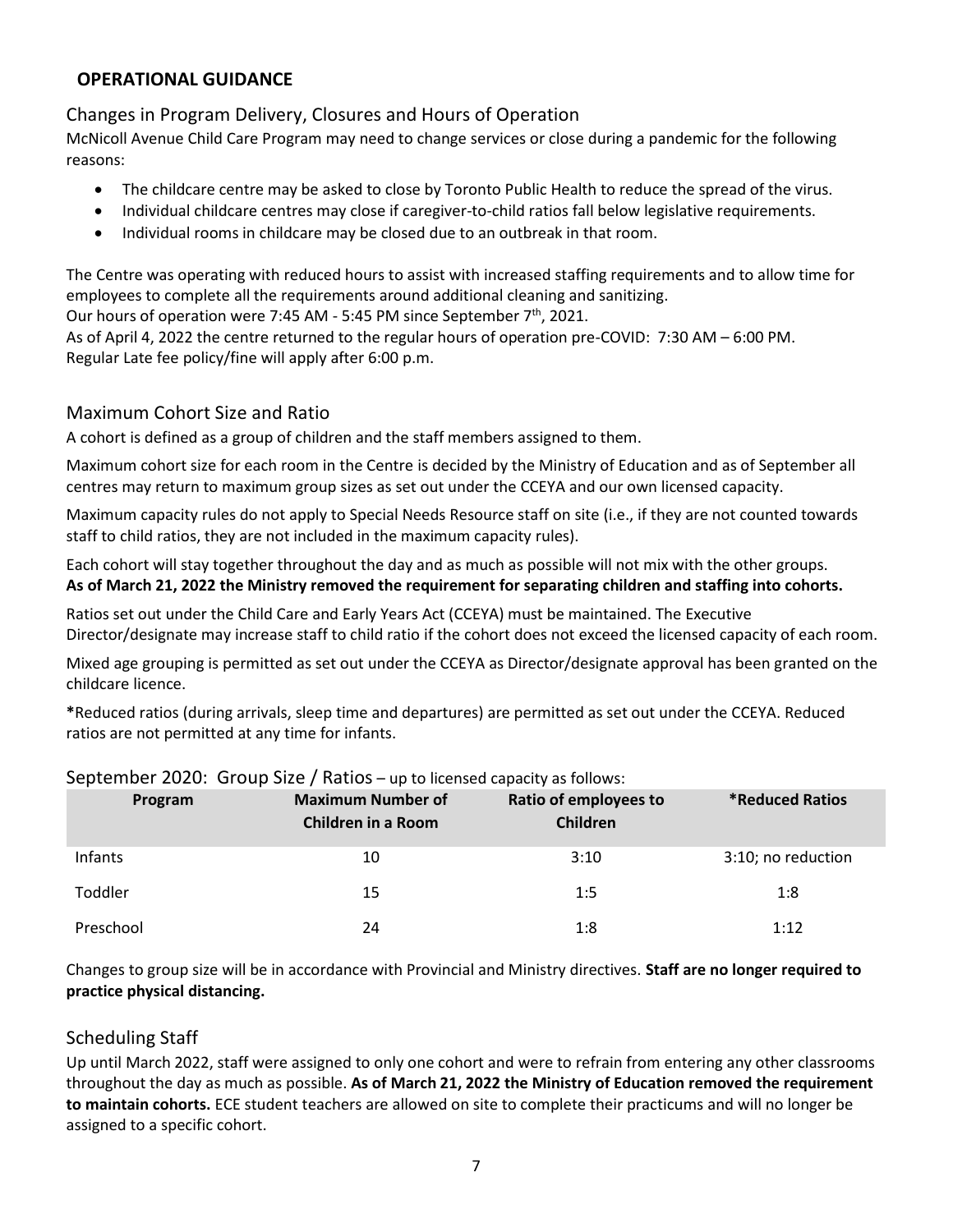## <span id="page-7-0"></span>**OPERATIONAL GUIDANCE**

# <span id="page-7-1"></span>Changes in Program Delivery, Closures and Hours of Operation

McNicoll Avenue Child Care Program may need to change services or close during a pandemic for the following reasons:

- The childcare centre may be asked to close by Toronto Public Health to reduce the spread of the virus.
- Individual childcare centres may close if caregiver-to-child ratios fall below legislative requirements.
- Individual rooms in childcare may be closed due to an outbreak in that room.

The Centre was operating with reduced hours to assist with increased staffing requirements and to allow time for employees to complete all the requirements around additional cleaning and sanitizing.

Our hours of operation were 7:45 AM - 5:45 PM since September 7<sup>th</sup>, 2021.

As of April 4, 2022 the centre returned to the regular hours of operation pre-COVID: 7:30 AM – 6:00 PM. Regular Late fee policy/fine will apply after 6:00 p.m.

## <span id="page-7-2"></span>Maximum Cohort Size and Ratio

A cohort is defined as a group of children and the staff members assigned to them.

Maximum cohort size for each room in the Centre is decided by the Ministry of Education and as of September all centres may return to maximum group sizes as set out under the CCEYA and our own licensed capacity.

Maximum capacity rules do not apply to Special Needs Resource staff on site (i.e., if they are not counted towards staff to child ratios, they are not included in the maximum capacity rules).

Each cohort will stay together throughout the day and as much as possible will not mix with the other groups. **As of March 21, 2022 the Ministry removed the requirement for separating children and staffing into cohorts.**

Ratios set out under the Child Care and Early Years Act (CCEYA) must be maintained. The Executive Director/designate may increase staff to child ratio if the cohort does not exceed the licensed capacity of each room.

Mixed age grouping is permitted as set out under the CCEYA as Director/designate approval has been granted on the childcare licence.

**\***Reduced ratios (during arrivals, sleep time and departures) are permitted as set out under the CCEYA. Reduced ratios are not permitted at any time for infants.

| Program   | <b>Maximum Number of</b><br><b>Children in a Room</b> | Ratio of employees to<br>Children | <b>*Reduced Ratios</b> |
|-----------|-------------------------------------------------------|-----------------------------------|------------------------|
| Infants   | 10                                                    | 3:10                              | 3:10; no reduction     |
| Toddler   | 15                                                    | 1:5                               | 1:8                    |
| Preschool | 24                                                    | 1:8                               | 1:12                   |

#### <span id="page-7-3"></span>September 2020: Group Size / Ratios – up to licensed capacity as follows:

Changes to group size will be in accordance with Provincial and Ministry directives. **Staff are no longer required to practice physical distancing.**

# <span id="page-7-4"></span>Scheduling Staff

Up until March 2022, staff were assigned to only one cohort and were to refrain from entering any other classrooms throughout the day as much as possible. **As of March 21, 2022 the Ministry of Education removed the requirement to maintain cohorts.** ECE student teachers are allowed on site to complete their practicums and will no longer be assigned to a specific cohort.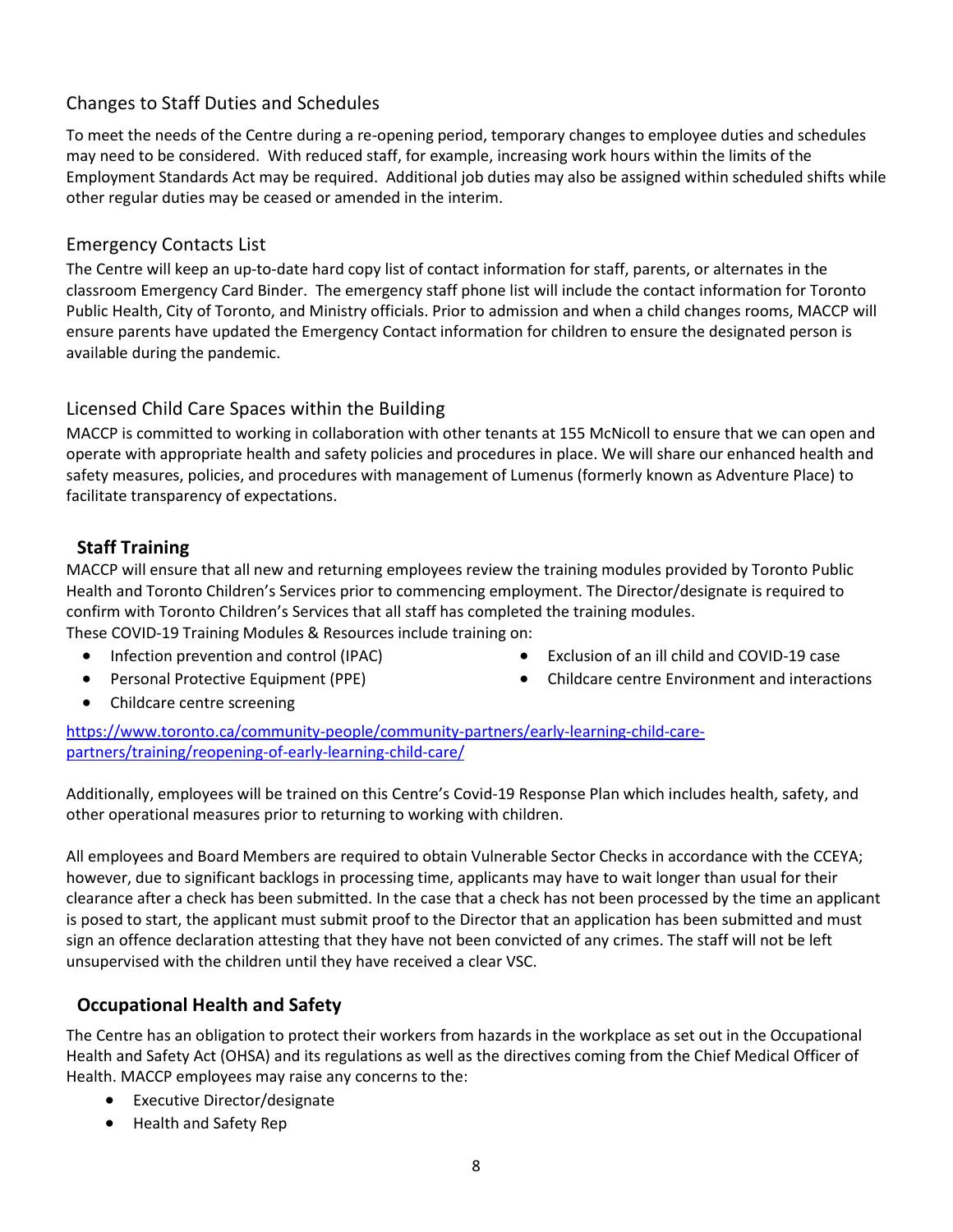# <span id="page-8-0"></span>Changes to Staff Duties and Schedules

To meet the needs of the Centre during a re-opening period, temporary changes to employee duties and schedules may need to be considered. With reduced staff, for example, increasing work hours within the limits of the Employment Standards Act may be required. Additional job duties may also be assigned within scheduled shifts while other regular duties may be ceased or amended in the interim.

#### <span id="page-8-1"></span>Emergency Contacts List

The Centre will keep an up-to-date hard copy list of contact information for staff, parents, or alternates in the classroom Emergency Card Binder. The emergency staff phone list will include the contact information for Toronto Public Health, City of Toronto, and Ministry officials. Prior to admission and when a child changes rooms, MACCP will ensure parents have updated the Emergency Contact information for children to ensure the designated person is available during the pandemic.

#### <span id="page-8-2"></span>Licensed Child Care Spaces within the Building

MACCP is committed to working in collaboration with other tenants at 155 McNicoll to ensure that we can open and operate with appropriate health and safety policies and procedures in place. We will share our enhanced health and safety measures, policies, and procedures with management of Lumenus (formerly known as Adventure Place) to facilitate transparency of expectations.

#### <span id="page-8-3"></span>**Staff Training**

MACCP will ensure that all new and returning employees review the training modules provided by Toronto Public Health and Toronto Children's Services prior to commencing employment. The Director/designate is required to confirm with Toronto Children's Services that all staff has completed the training modules. These COVID-19 Training Modules & Resources include training on:

• Infection prevention and control (IPAC)

• Exclusion of an ill child and COVID-19 case

• Personal Protective Equipment (PPE)

• Childcare centre Environment and interactions

• Childcare centre screening

[https://www.toronto.ca/community-people/community-partners/early-learning-child-care](https://www.toronto.ca/community-people/community-partners/early-learning-child-care-partners/training/reopening-of-early-learning-child-care/)[partners/training/reopening-of-early-learning-child-care/](https://www.toronto.ca/community-people/community-partners/early-learning-child-care-partners/training/reopening-of-early-learning-child-care/)

Additionally, employees will be trained on this Centre's Covid-19 Response Plan which includes health, safety, and other operational measures prior to returning to working with children.

All employees and Board Members are required to obtain Vulnerable Sector Checks in accordance with the CCEYA; however, due to significant backlogs in processing time, applicants may have to wait longer than usual for their clearance after a check has been submitted. In the case that a check has not been processed by the time an applicant is posed to start, the applicant must submit proof to the Director that an application has been submitted and must sign an offence declaration attesting that they have not been convicted of any crimes. The staff will not be left unsupervised with the children until they have received a clear VSC.

## <span id="page-8-4"></span>**Occupational Health and Safety**

The Centre has an obligation to protect their workers from hazards in the workplace as set out in the Occupational Health and Safety Act (OHSA) and its regulations as well as the directives coming from the Chief Medical Officer of Health. MACCP employees may raise any concerns to the:

- Executive Director/designate
- Health and Safety Rep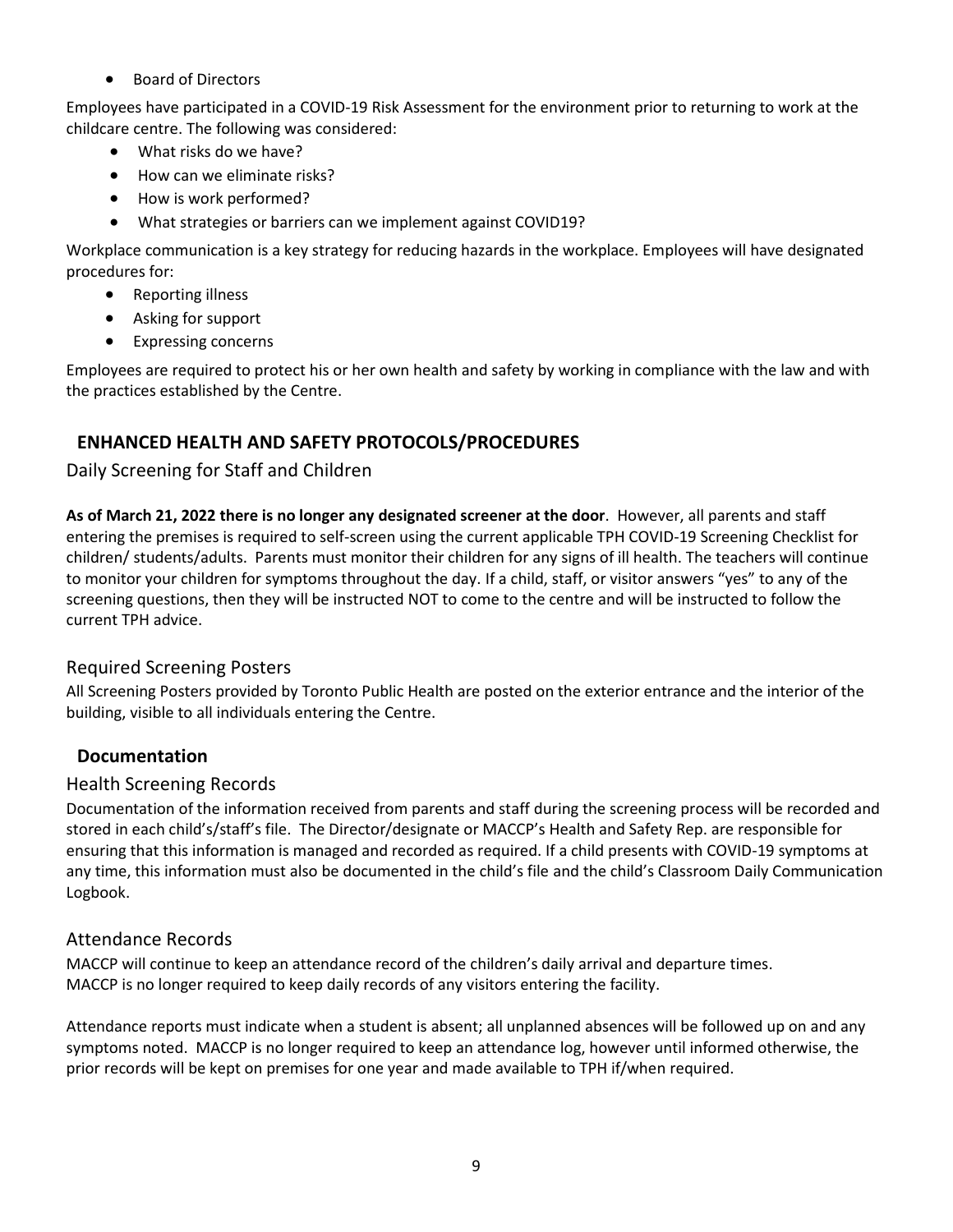• Board of Directors

Employees have participated in a COVID-19 Risk Assessment for the environment prior to returning to work at the childcare centre. The following was considered:

- What risks do we have?
- How can we eliminate risks?
- How is work performed?
- What strategies or barriers can we implement against COVID19?

Workplace communication is a key strategy for reducing hazards in the workplace. Employees will have designated procedures for:

- Reporting illness
- Asking for support
- Expressing concerns

Employees are required to protect his or her own health and safety by working in compliance with the law and with the practices established by the Centre.

# <span id="page-9-0"></span>**ENHANCED HEALTH AND SAFETY PROTOCOLS/PROCEDURES**

# <span id="page-9-1"></span>Daily Screening for Staff and Children

**As of March 21, 2022 there is no longer any designated screener at the door**. However, all parents and staff entering the premises is required to self-screen using the current applicable TPH COVID-19 Screening Checklist for children/ students/adults. Parents must monitor their children for any signs of ill health. The teachers will continue to monitor your children for symptoms throughout the day. If a child, staff, or visitor answers "yes" to any of the screening questions, then they will be instructed NOT to come to the centre and will be instructed to follow the current TPH advice.

# <span id="page-9-2"></span>Required Screening Posters

All Screening Posters provided by Toronto Public Health are posted on the exterior entrance and the interior of the building, visible to all individuals entering the Centre.

# <span id="page-9-3"></span>**Documentation**

# <span id="page-9-4"></span>Health Screening Records

Documentation of the information received from parents and staff during the screening process will be recorded and stored in each child's/staff's file. The Director/designate or MACCP's Health and Safety Rep. are responsible for ensuring that this information is managed and recorded as required. If a child presents with COVID-19 symptoms at any time, this information must also be documented in the child's file and the child's Classroom Daily Communication Logbook.

# <span id="page-9-5"></span>Attendance Records

MACCP will continue to keep an attendance record of the children's daily arrival and departure times. MACCP is no longer required to keep daily records of any visitors entering the facility.

Attendance reports must indicate when a student is absent; all unplanned absences will be followed up on and any symptoms noted. MACCP is no longer required to keep an attendance log, however until informed otherwise, the prior records will be kept on premises for one year and made available to TPH if/when required.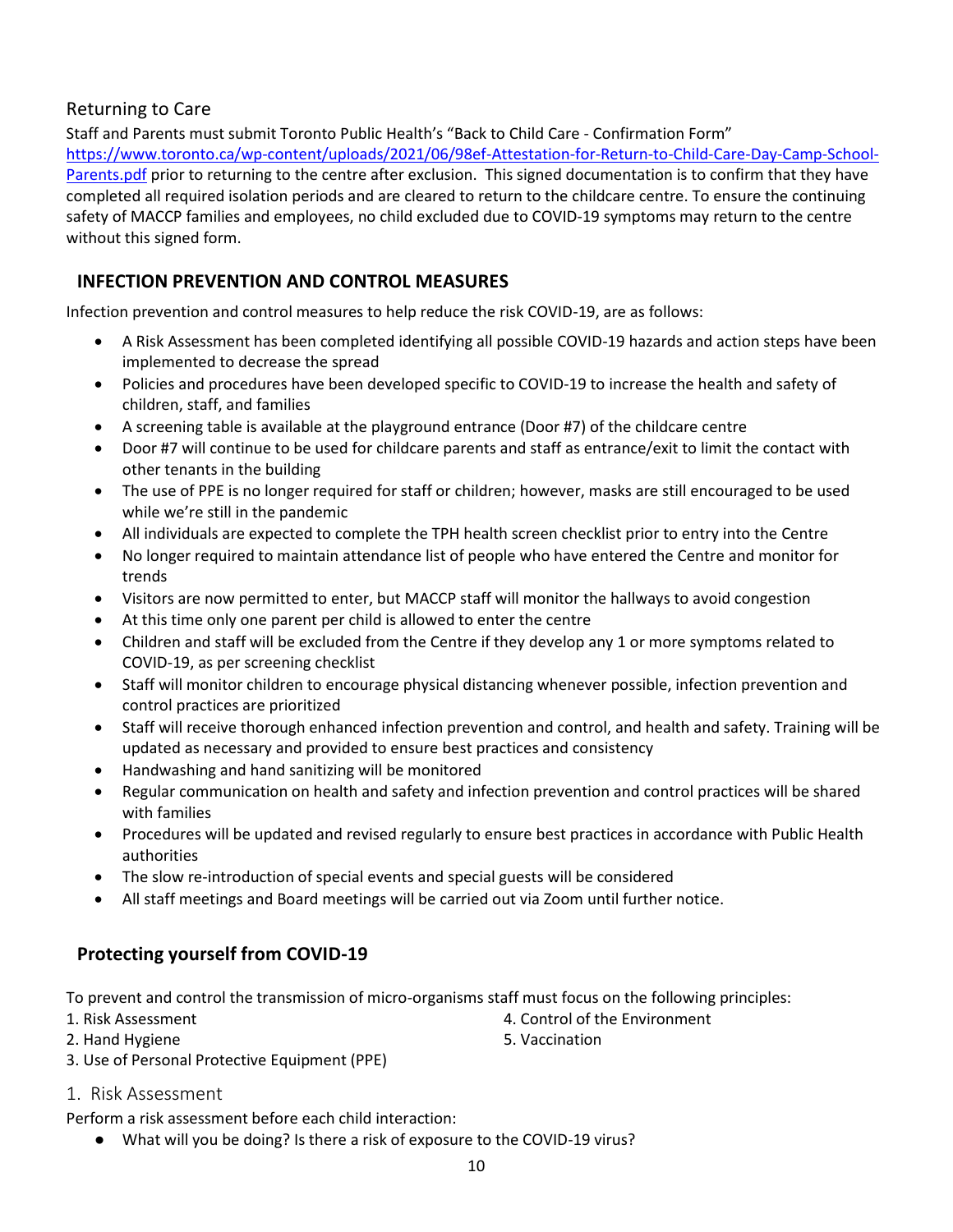## <span id="page-10-0"></span>Returning to Care

Staff and Parents must submit Toronto Public Health's "Back to Child Care - Confirmation Form" [https://www.toronto.ca/wp-content/uploads/2021/06/98ef-Attestation-for-Return-to-Child-Care-Day-Camp-School-](https://www.toronto.ca/wp-content/uploads/2021/06/98ef-Attestation-for-Return-to-Child-Care-Day-Camp-School-Parents.pdf)[Parents.pdf](https://www.toronto.ca/wp-content/uploads/2021/06/98ef-Attestation-for-Return-to-Child-Care-Day-Camp-School-Parents.pdf) prior to returning to the centre after exclusion. This signed documentation is to confirm that they have completed all required isolation periods and are cleared to return to the childcare centre. To ensure the continuing safety of MACCP families and employees, no child excluded due to COVID-19 symptoms may return to the centre without this signed form.

# <span id="page-10-1"></span>**INFECTION PREVENTION AND CONTROL MEASURES**

Infection prevention and control measures to help reduce the risk COVID-19, are as follows:

- A Risk Assessment has been completed identifying all possible COVID-19 hazards and action steps have been implemented to decrease the spread
- Policies and procedures have been developed specific to COVID-19 to increase the health and safety of children, staff, and families
- A screening table is available at the playground entrance (Door #7) of the childcare centre
- Door #7 will continue to be used for childcare parents and staff as entrance/exit to limit the contact with other tenants in the building
- The use of PPE is no longer required for staff or children; however, masks are still encouraged to be used while we're still in the pandemic
- All individuals are expected to complete the TPH health screen checklist prior to entry into the Centre
- No longer required to maintain attendance list of people who have entered the Centre and monitor for trends
- Visitors are now permitted to enter, but MACCP staff will monitor the hallways to avoid congestion
- At this time only one parent per child is allowed to enter the centre
- Children and staff will be excluded from the Centre if they develop any 1 or more symptoms related to COVID-19, as per screening checklist
- Staff will monitor children to encourage physical distancing whenever possible, infection prevention and control practices are prioritized
- Staff will receive thorough enhanced infection prevention and control, and health and safety. Training will be updated as necessary and provided to ensure best practices and consistency
- Handwashing and hand sanitizing will be monitored
- Regular communication on health and safety and infection prevention and control practices will be shared with families
- Procedures will be updated and revised regularly to ensure best practices in accordance with Public Health authorities
- The slow re-introduction of special events and special guests will be considered
- All staff meetings and Board meetings will be carried out via Zoom until further notice.

# <span id="page-10-2"></span>**Protecting yourself from COVID-19**

To prevent and control the transmission of micro-organisms staff must focus on the following principles:

- 1. Risk Assessment
- 2. Hand Hygiene
- 
- 3. Use of Personal Protective Equipment (PPE)
- <span id="page-10-3"></span>1. Risk Assessment

Perform a risk assessment before each child interaction:

● What will you be doing? Is there a risk of exposure to the COVID-19 virus?

- 4. Control of the Environment
- 5. Vaccination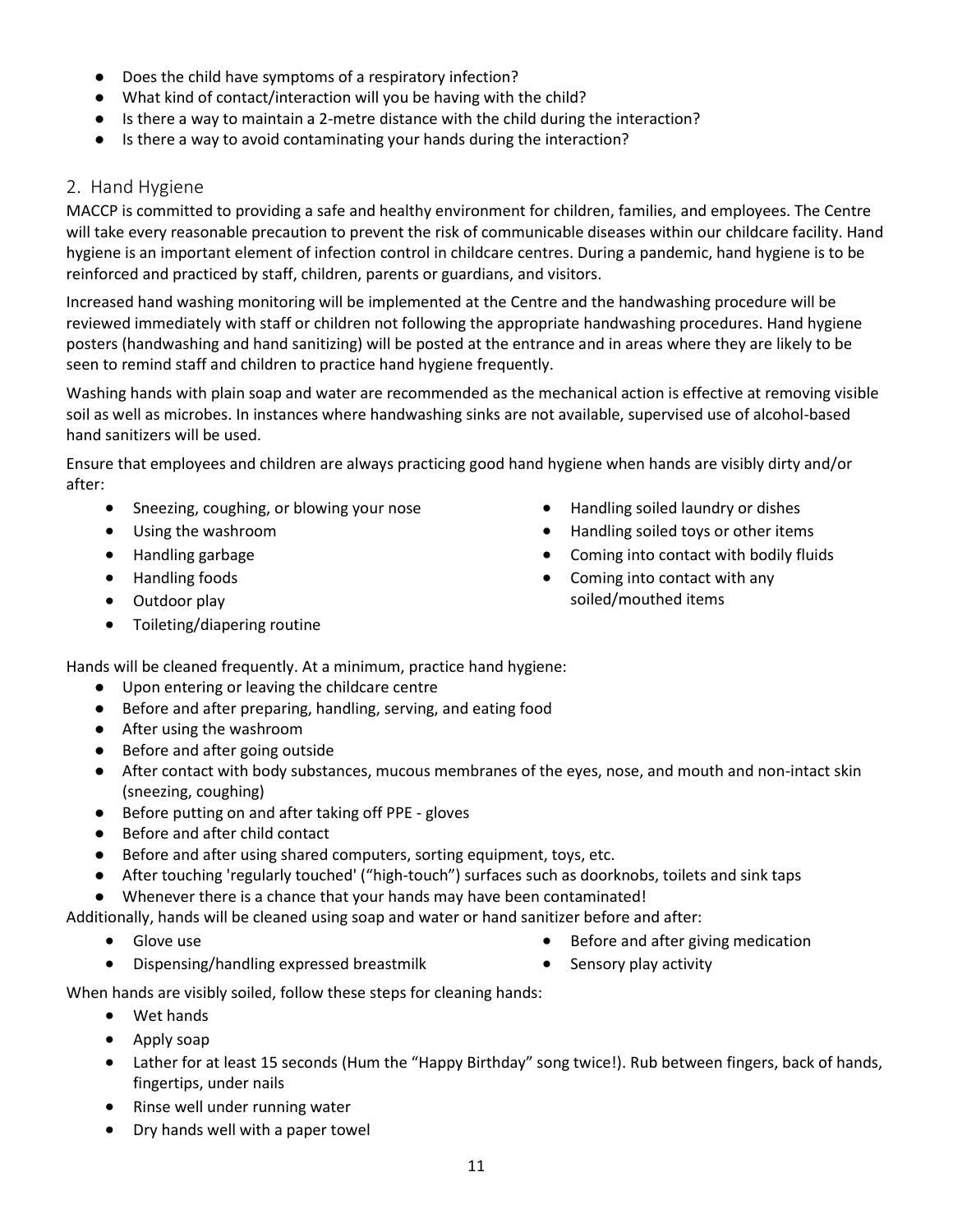- Does the child have symptoms of a respiratory infection?
- What kind of contact/interaction will you be having with the child?
- Is there a way to maintain a 2-metre distance with the child during the interaction?
- Is there a way to avoid contaminating your hands during the interaction?

#### <span id="page-11-0"></span>2. Hand Hygiene

MACCP is committed to providing a safe and healthy environment for children, families, and employees. The Centre will take every reasonable precaution to prevent the risk of communicable diseases within our childcare facility. Hand hygiene is an important element of infection control in childcare centres. During a pandemic, hand hygiene is to be reinforced and practiced by staff, children, parents or guardians, and visitors.

Increased hand washing monitoring will be implemented at the Centre and the handwashing procedure will be reviewed immediately with staff or children not following the appropriate handwashing procedures. Hand hygiene posters (handwashing and hand sanitizing) will be posted at the entrance and in areas where they are likely to be seen to remind staff and children to practice hand hygiene frequently.

Washing hands with plain soap and water are recommended as the mechanical action is effective at removing visible soil as well as microbes. In instances where handwashing sinks are not available, supervised use of alcohol-based hand sanitizers will be used.

Ensure that employees and children are always practicing good hand hygiene when hands are visibly dirty and/or after:

- Sneezing, coughing, or blowing your nose
- Using the washroom
- Handling garbage
- Handling foods
- Outdoor play
- Toileting/diapering routine
- Handling soiled laundry or dishes
- Handling soiled toys or other items
- Coming into contact with bodily fluids
- Coming into contact with any soiled/mouthed items

Hands will be cleaned frequently. At a minimum, practice hand hygiene:

- Upon entering or leaving the childcare centre
- Before and after preparing, handling, serving, and eating food
- After using the washroom
- Before and after going outside
- After contact with body substances, mucous membranes of the eyes, nose, and mouth and non-intact skin (sneezing, coughing)
- Before putting on and after taking off PPE gloves
- Before and after child contact
- Before and after using shared computers, sorting equipment, toys, etc.
- After touching 'regularly touched' ("high-touch") surfaces such as doorknobs, toilets and sink taps

● Whenever there is a chance that your hands may have been contaminated!

Additionally, hands will be cleaned using soap and water or hand sanitizer before and after:

• Glove use

- Before and after giving medication
- Dispensing/handling expressed breastmilk
- Sensory play activity

When hands are visibly soiled, follow these steps for cleaning hands:

- Wet hands
- Apply soap
- Lather for at least 15 seconds (Hum the "Happy Birthday" song twice!). Rub between fingers, back of hands, fingertips, under nails
- Rinse well under running water
- Dry hands well with a paper towel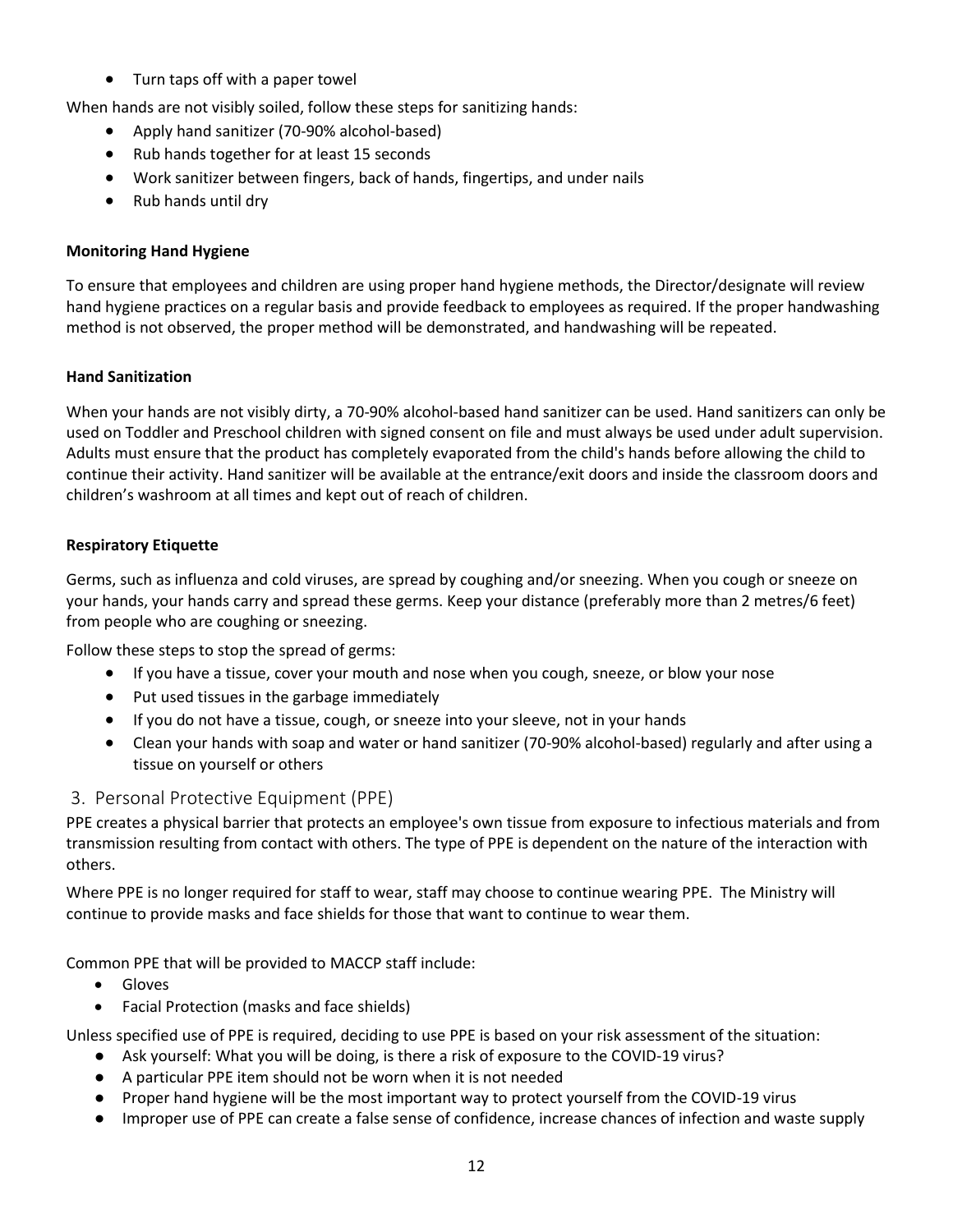• Turn taps off with a paper towel

When hands are not visibly soiled, follow these steps for sanitizing hands:

- Apply hand sanitizer (70-90% alcohol-based)
- Rub hands together for at least 15 seconds
- Work sanitizer between fingers, back of hands, fingertips, and under nails
- Rub hands until dry

#### **Monitoring Hand Hygiene**

To ensure that employees and children are using proper hand hygiene methods, the Director/designate will review hand hygiene practices on a regular basis and provide feedback to employees as required. If the proper handwashing method is not observed, the proper method will be demonstrated, and handwashing will be repeated.

#### **Hand Sanitization**

When your hands are not visibly dirty, a 70-90% alcohol-based hand sanitizer can be used. Hand sanitizers can only be used on Toddler and Preschool children with signed consent on file and must always be used under adult supervision. Adults must ensure that the product has completely evaporated from the child's hands before allowing the child to continue their activity. Hand sanitizer will be available at the entrance/exit doors and inside the classroom doors and children's washroom at all times and kept out of reach of children.

#### **Respiratory Etiquette**

Germs, such as influenza and cold viruses, are spread by coughing and/or sneezing. When you cough or sneeze on your hands, your hands carry and spread these germs. Keep your distance (preferably more than 2 metres/6 feet) from people who are coughing or sneezing.

Follow these steps to stop the spread of germs:

- If you have a tissue, cover your mouth and nose when you cough, sneeze, or blow your nose
- Put used tissues in the garbage immediately
- If you do not have a tissue, cough, or sneeze into your sleeve, not in your hands
- Clean your hands with soap and water or hand sanitizer (70-90% alcohol-based) regularly and after using a tissue on yourself or others

## <span id="page-12-0"></span>3. Personal Protective Equipment (PPE)

PPE creates a physical barrier that protects an employee's own tissue from exposure to infectious materials and from transmission resulting from contact with others. The type of PPE is dependent on the nature of the interaction with others.

Where PPE is no longer required for staff to wear, staff may choose to continue wearing PPE. The Ministry will continue to provide masks and face shields for those that want to continue to wear them.

Common PPE that will be provided to MACCP staff include:

- Gloves
- Facial Protection (masks and face shields)

Unless specified use of PPE is required, deciding to use PPE is based on your risk assessment of the situation:

- Ask yourself: What you will be doing, is there a risk of exposure to the COVID-19 virus?
- A particular PPE item should not be worn when it is not needed
- Proper hand hygiene will be the most important way to protect yourself from the COVID-19 virus
- Improper use of PPE can create a false sense of confidence, increase chances of infection and waste supply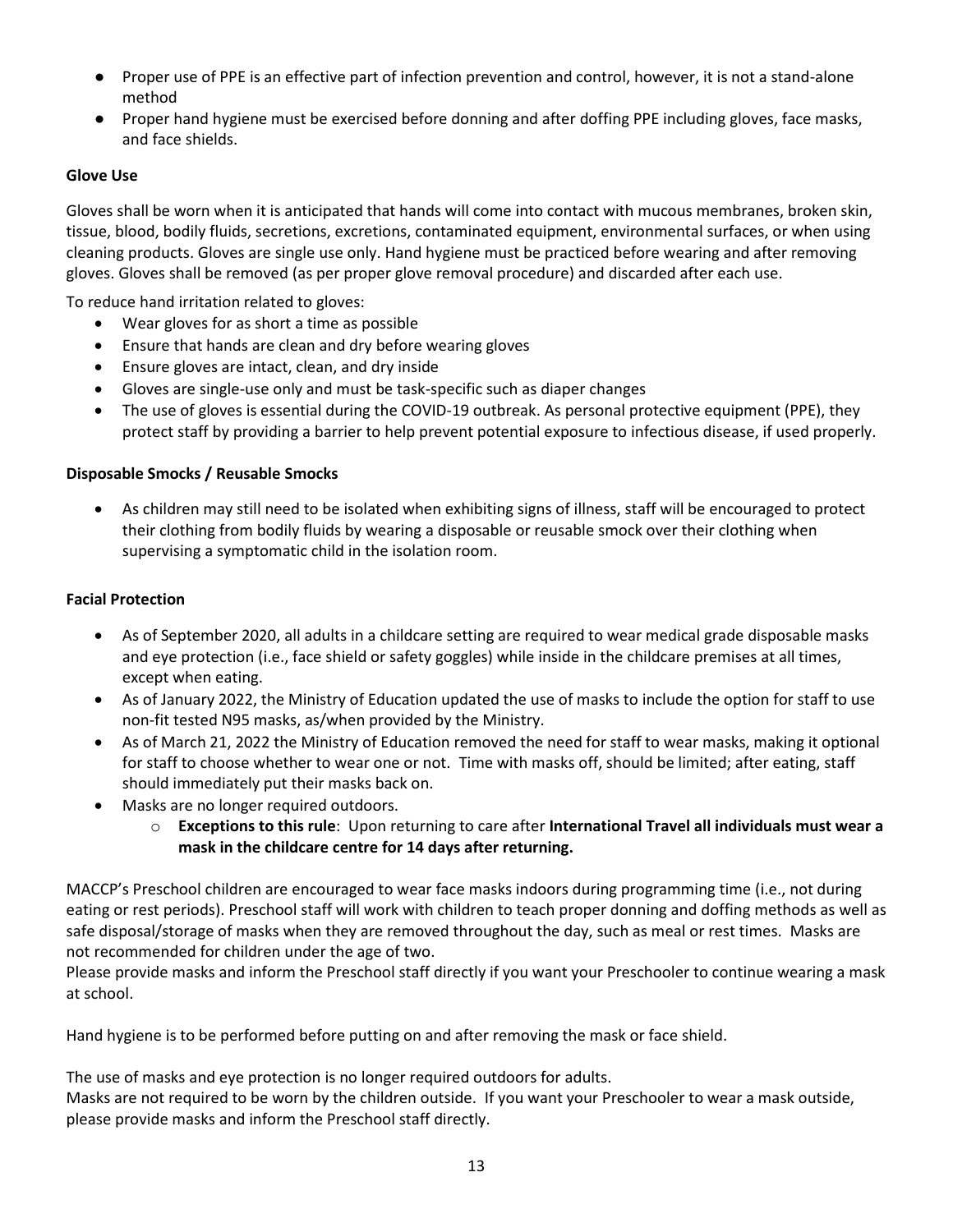- Proper use of PPE is an effective part of infection prevention and control, however, it is not a stand-alone method
- Proper hand hygiene must be exercised before donning and after doffing PPE including gloves, face masks, and face shields.

#### **Glove Use**

Gloves shall be worn when it is anticipated that hands will come into contact with mucous membranes, broken skin, tissue, blood, bodily fluids, secretions, excretions, contaminated equipment, environmental surfaces, or when using cleaning products. Gloves are single use only. Hand hygiene must be practiced before wearing and after removing gloves. Gloves shall be removed (as per proper glove removal procedure) and discarded after each use.

To reduce hand irritation related to gloves:

- Wear gloves for as short a time as possible
- Ensure that hands are clean and dry before wearing gloves
- Ensure gloves are intact, clean, and dry inside
- Gloves are single-use only and must be task-specific such as diaper changes
- The use of gloves is essential during the COVID-19 outbreak. As personal protective equipment (PPE), they protect staff by providing a barrier to help prevent potential exposure to infectious disease, if used properly.

#### **Disposable Smocks / Reusable Smocks**

• As children may still need to be isolated when exhibiting signs of illness, staff will be encouraged to protect their clothing from bodily fluids by wearing a disposable or reusable smock over their clothing when supervising a symptomatic child in the isolation room.

#### **Facial Protection**

- As of September 2020, all adults in a childcare setting are required to wear medical grade disposable masks and eye protection (i.e., face shield or safety goggles) while inside in the childcare premises at all times, except when eating.
- As of January 2022, the Ministry of Education updated the use of masks to include the option for staff to use non-fit tested N95 masks, as/when provided by the Ministry.
- As of March 21, 2022 the Ministry of Education removed the need for staff to wear masks, making it optional for staff to choose whether to wear one or not. Time with masks off, should be limited; after eating, staff should immediately put their masks back on.
- Masks are no longer required outdoors.
	- o **Exceptions to this rule**: Upon returning to care after **International Travel all individuals must wear a mask in the childcare centre for 14 days after returning.**

MACCP's Preschool children are encouraged to wear face masks indoors during programming time (i.e., not during eating or rest periods). Preschool staff will work with children to teach proper donning and doffing methods as well as safe disposal/storage of masks when they are removed throughout the day, such as meal or rest times. Masks are not recommended for children under the age of two.

Please provide masks and inform the Preschool staff directly if you want your Preschooler to continue wearing a mask at school.

Hand hygiene is to be performed before putting on and after removing the mask or face shield.

The use of masks and eye protection is no longer required outdoors for adults.

Masks are not required to be worn by the children outside. If you want your Preschooler to wear a mask outside, please provide masks and inform the Preschool staff directly.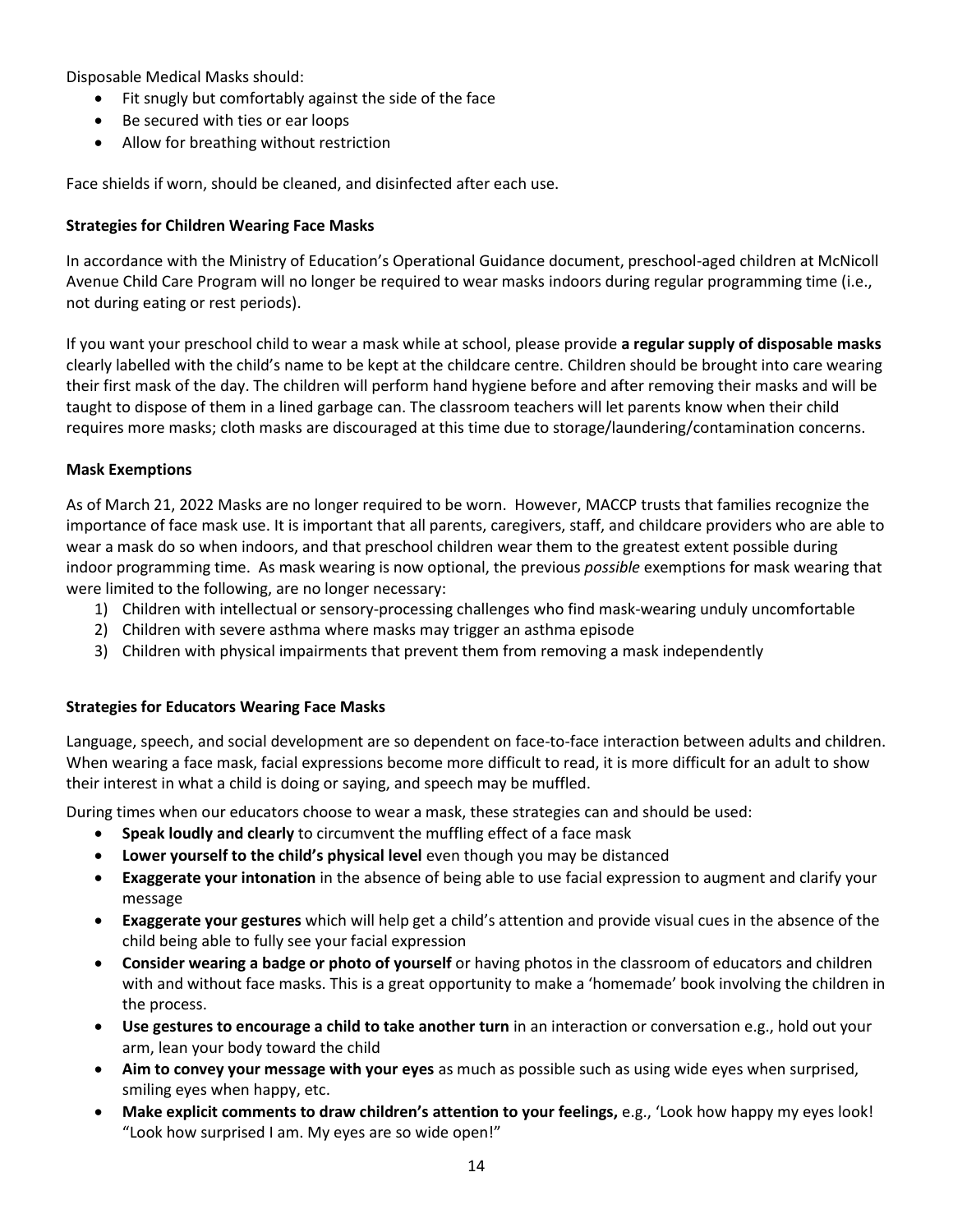Disposable Medical Masks should:

- Fit snugly but comfortably against the side of the face
- Be secured with ties or ear loops
- Allow for breathing without restriction

Face shields if worn, should be cleaned, and disinfected after each use.

#### **Strategies for Children Wearing Face Masks**

In accordance with the Ministry of Education's Operational Guidance document, preschool-aged children at McNicoll Avenue Child Care Program will no longer be required to wear masks indoors during regular programming time (i.e., not during eating or rest periods).

If you want your preschool child to wear a mask while at school, please provide **a regular supply of disposable masks** clearly labelled with the child's name to be kept at the childcare centre. Children should be brought into care wearing their first mask of the day. The children will perform hand hygiene before and after removing their masks and will be taught to dispose of them in a lined garbage can. The classroom teachers will let parents know when their child requires more masks; cloth masks are discouraged at this time due to storage/laundering/contamination concerns.

#### **Mask Exemptions**

As of March 21, 2022 Masks are no longer required to be worn. However, MACCP trusts that families recognize the importance of face mask use. It is important that all parents, caregivers, staff, and childcare providers who are able to wear a mask do so when indoors, and that preschool children wear them to the greatest extent possible during indoor programming time. As mask wearing is now optional, the previous *possible* exemptions for mask wearing that were limited to the following, are no longer necessary:

- 1) Children with intellectual or sensory-processing challenges who find mask-wearing unduly uncomfortable
- 2) Children with severe asthma where masks may trigger an asthma episode
- 3) Children with physical impairments that prevent them from removing a mask independently

#### **Strategies for Educators Wearing Face Masks**

Language, speech, and social development are so dependent on face-to-face interaction between adults and children. When wearing a face mask, facial expressions become more difficult to read, it is more difficult for an adult to show their interest in what a child is doing or saying, and speech may be muffled.

During times when our educators choose to wear a mask, these strategies can and should be used:

- **Speak loudly and clearly** to circumvent the muffling effect of a face mask
- **Lower yourself to the child's physical level** even though you may be distanced
- **Exaggerate your intonation** in the absence of being able to use facial expression to augment and clarify your message
- **Exaggerate your gestures** which will help get a child's attention and provide visual cues in the absence of the child being able to fully see your facial expression
- **Consider wearing a badge or photo of yourself** or having photos in the classroom of educators and children with and without face masks. This is a great opportunity to make a 'homemade' book involving the children in the process.
- **Use gestures to encourage a child to take another turn** in an interaction or conversation e.g., hold out your arm, lean your body toward the child
- **Aim to convey your message with your eyes** as much as possible such as using wide eyes when surprised, smiling eyes when happy, etc.
- **Make explicit comments to draw children's attention to your feelings,** e.g., 'Look how happy my eyes look! "Look how surprised I am. My eyes are so wide open!"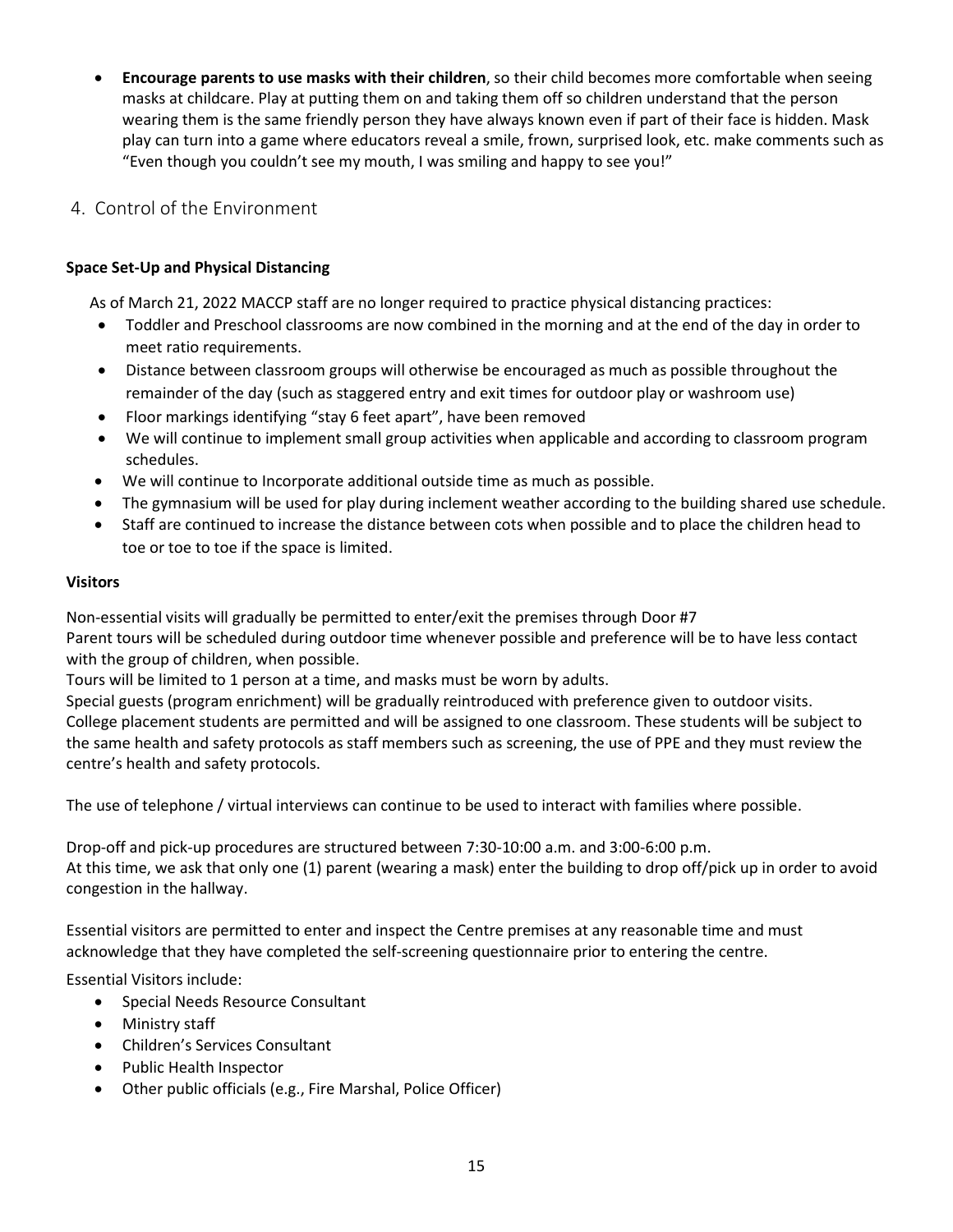• **Encourage parents to use masks with their children**, so their child becomes more comfortable when seeing masks at childcare. Play at putting them on and taking them off so children understand that the person wearing them is the same friendly person they have always known even if part of their face is hidden. Mask play can turn into a game where educators reveal a smile, frown, surprised look, etc. make comments such as "Even though you couldn't see my mouth, I was smiling and happy to see you!"

## <span id="page-15-0"></span>4. Control of the Environment

#### **Space Set-Up and Physical Distancing**

As of March 21, 2022 MACCP staff are no longer required to practice physical distancing practices:

- Toddler and Preschool classrooms are now combined in the morning and at the end of the day in order to meet ratio requirements.
- Distance between classroom groups will otherwise be encouraged as much as possible throughout the remainder of the day (such as staggered entry and exit times for outdoor play or washroom use)
- Floor markings identifying "stay 6 feet apart", have been removed
- We will continue to implement small group activities when applicable and according to classroom program schedules.
- We will continue to Incorporate additional outside time as much as possible.
- The gymnasium will be used for play during inclement weather according to the building shared use schedule.
- Staff are continued to increase the distance between cots when possible and to place the children head to toe or toe to toe if the space is limited.

#### **Visitors**

Non-essential visits will gradually be permitted to enter/exit the premises through Door #7

Parent tours will be scheduled during outdoor time whenever possible and preference will be to have less contact with the group of children, when possible.

Tours will be limited to 1 person at a time, and masks must be worn by adults.

Special guests (program enrichment) will be gradually reintroduced with preference given to outdoor visits. College placement students are permitted and will be assigned to one classroom. These students will be subject to the same health and safety protocols as staff members such as screening, the use of PPE and they must review the centre's health and safety protocols.

The use of telephone / virtual interviews can continue to be used to interact with families where possible.

Drop-off and pick-up procedures are structured between 7:30-10:00 a.m. and 3:00-6:00 p.m. At this time, we ask that only one (1) parent (wearing a mask) enter the building to drop off/pick up in order to avoid congestion in the hallway.

Essential visitors are permitted to enter and inspect the Centre premises at any reasonable time and must acknowledge that they have completed the self-screening questionnaire prior to entering the centre.

Essential Visitors include:

- Special Needs Resource Consultant
- Ministry staff
- Children's Services Consultant
- Public Health Inspector
- Other public officials (e.g., Fire Marshal, Police Officer)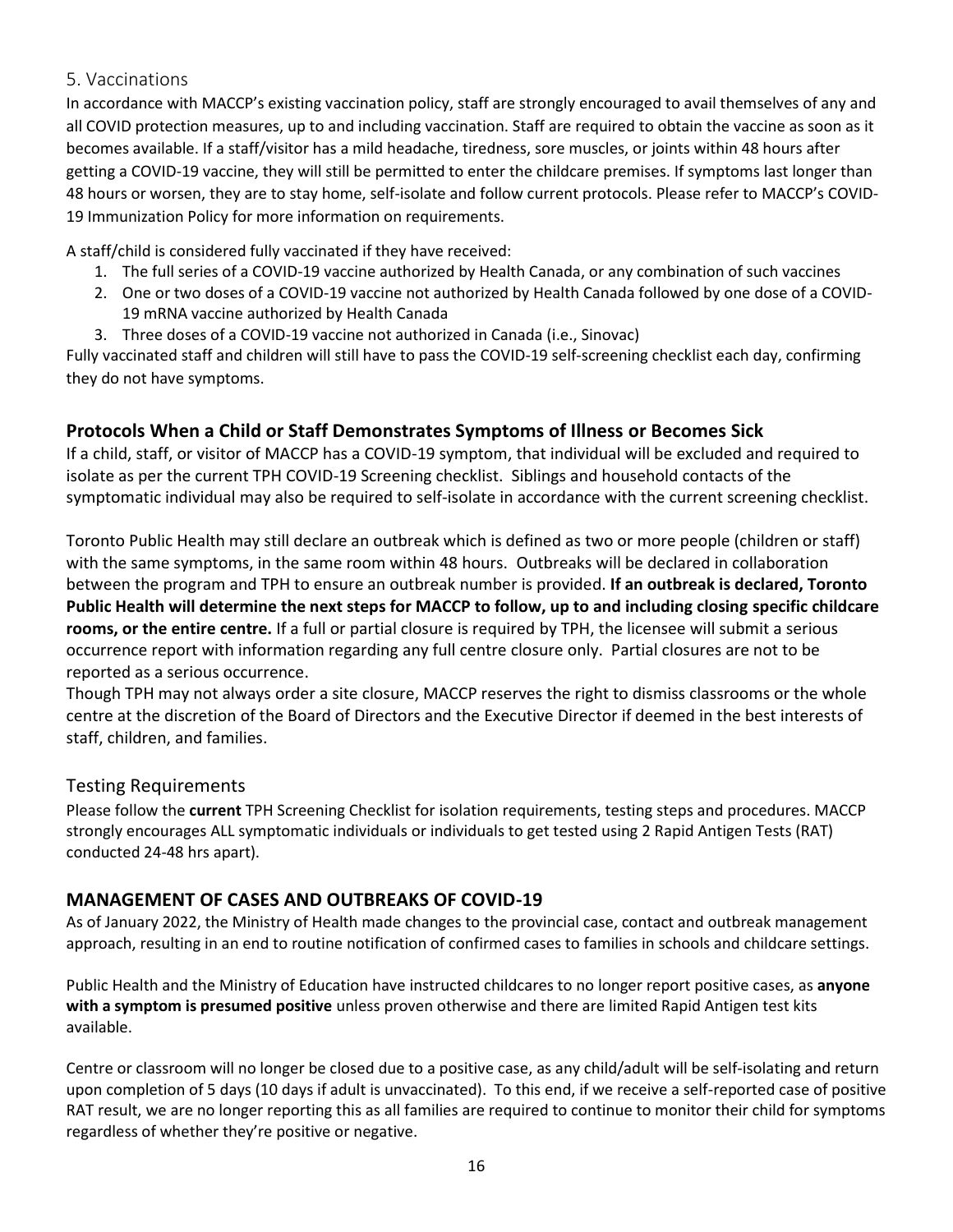## <span id="page-16-0"></span>5. Vaccinations

In accordance with MACCP's existing vaccination policy, staff are strongly encouraged to avail themselves of any and all COVID protection measures, up to and including vaccination. Staff are required to obtain the vaccine as soon as it becomes available. If a staff/visitor has a mild headache, tiredness, sore muscles, or joints within 48 hours after getting a COVID-19 vaccine, they will still be permitted to enter the childcare premises. If symptoms last longer than 48 hours or worsen, they are to stay home, self-isolate and follow current protocols. Please refer to MACCP's COVID-19 Immunization Policy for more information on requirements.

A staff/child is considered fully vaccinated if they have received:

- 1. The full series of a COVID-19 vaccine authorized by Health Canada, or any combination of such vaccines
- 2. One or two doses of a COVID-19 vaccine not authorized by Health Canada followed by one dose of a COVID-19 mRNA vaccine authorized by Health Canada
- 3. Three doses of a COVID-19 vaccine not authorized in Canada (i.e., Sinovac)

Fully vaccinated staff and children will still have to pass the COVID-19 self-screening checklist each day, confirming they do not have symptoms.

## <span id="page-16-1"></span>**Protocols When a Child or Staff Demonstrates Symptoms of Illness or Becomes Sick**

If a child, staff, or visitor of MACCP has a COVID-19 symptom, that individual will be excluded and required to isolate as per the current TPH COVID-19 Screening checklist. Siblings and household contacts of the symptomatic individual may also be required to self-isolate in accordance with the current screening checklist.

Toronto Public Health may still declare an outbreak which is defined as two or more people (children or staff) with the same symptoms, in the same room within 48 hours. Outbreaks will be declared in collaboration between the program and TPH to ensure an outbreak number is provided. **If an outbreak is declared, Toronto Public Health will determine the next steps for MACCP to follow, up to and including closing specific childcare rooms, or the entire centre.** If a full or partial closure is required by TPH, the licensee will submit a serious occurrence report with information regarding any full centre closure only. Partial closures are not to be reported as a serious occurrence.

Though TPH may not always order a site closure, MACCP reserves the right to dismiss classrooms or the whole centre at the discretion of the Board of Directors and the Executive Director if deemed in the best interests of staff, children, and families.

## <span id="page-16-2"></span>Testing Requirements

Please follow the **current** TPH Screening Checklist for isolation requirements, testing steps and procedures. MACCP strongly encourages ALL symptomatic individuals or individuals to get tested using 2 Rapid Antigen Tests (RAT) conducted 24-48 hrs apart).

## <span id="page-16-3"></span>**MANAGEMENT OF CASES AND OUTBREAKS OF COVID-19**

As of January 2022, the Ministry of Health made changes to the provincial case, contact and outbreak management approach, resulting in an end to routine notification of confirmed cases to families in schools and childcare settings.

Public Health and the Ministry of Education have instructed childcares to no longer report positive cases, as **anyone with a symptom is presumed positive** unless proven otherwise and there are limited Rapid Antigen test kits available.

Centre or classroom will no longer be closed due to a positive case, as any child/adult will be self-isolating and return upon completion of 5 days (10 days if adult is unvaccinated). To this end, if we receive a self-reported case of positive RAT result, we are no longer reporting this as all families are required to continue to monitor their child for symptoms regardless of whether they're positive or negative.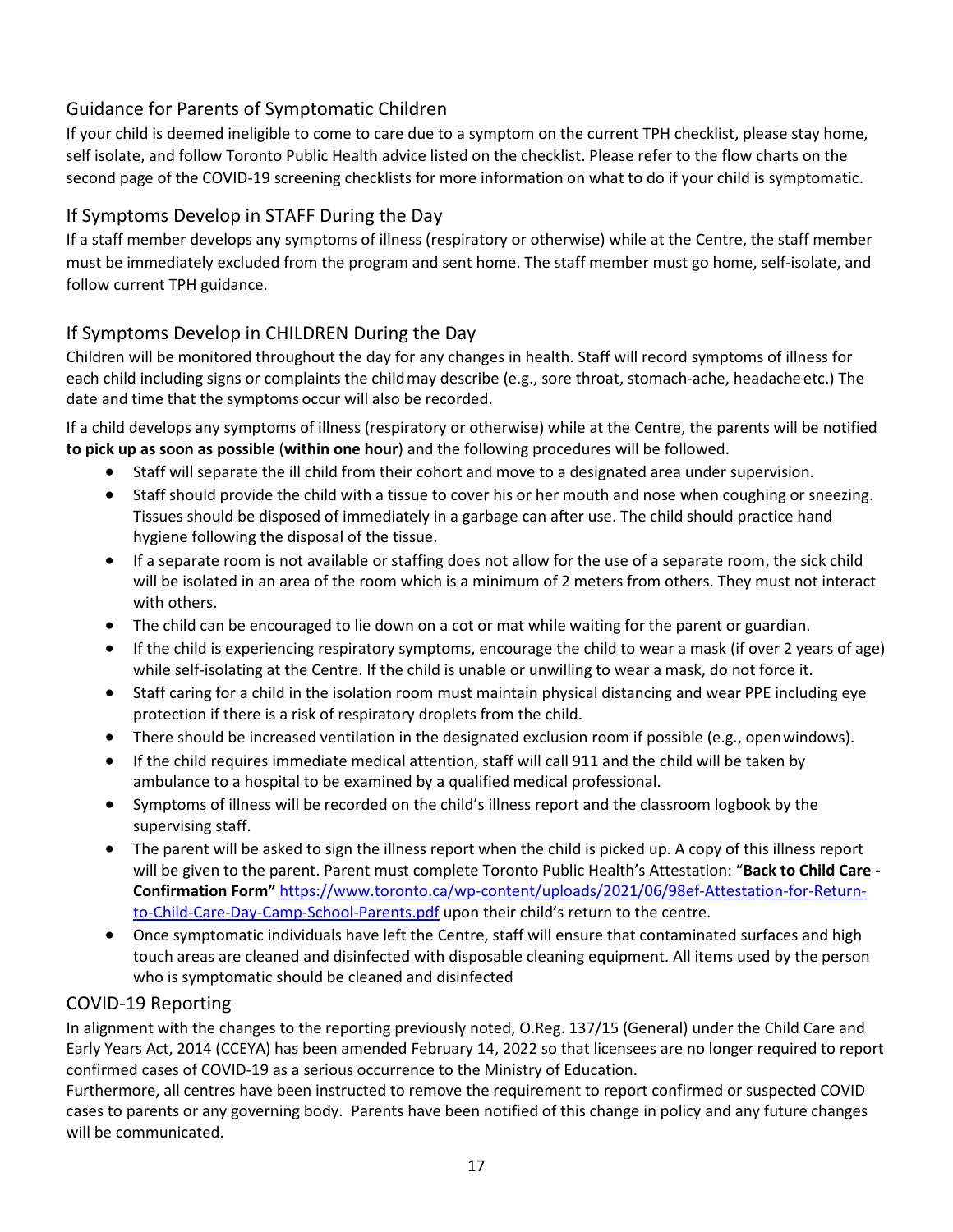# <span id="page-17-0"></span>Guidance for Parents of Symptomatic Children

If your child is deemed ineligible to come to care due to a symptom on the current TPH checklist, please stay home, self isolate, and follow Toronto Public Health advice listed on the checklist. Please refer to the flow charts on the second page of the COVID-19 screening checklists for more information on what to do if your child is symptomatic.

# <span id="page-17-1"></span>If Symptoms Develop in STAFF During the Day

If a staff member develops any symptoms of illness (respiratory or otherwise) while at the Centre, the staff member must be immediately excluded from the program and sent home. The staff member must go home, self-isolate, and follow current TPH guidance.

# <span id="page-17-2"></span>If Symptoms Develop in CHILDREN During the Day

Children will be monitored throughout the day for any changes in health. Staff will record symptoms of illness for each child including signs or complaints the childmay describe (e.g., sore throat, stomach-ache, headache etc.) The date and time that the symptoms occur will also be recorded.

If a child develops any symptoms of illness (respiratory or otherwise) while at the Centre, the parents will be notified **to pick up as soon as possible** (**within one hour**) and the following procedures will be followed.

- Staff will separate the ill child from their cohort and move to a designated area under supervision.
- Staff should provide the child with a tissue to cover his or her mouth and nose when coughing or sneezing. Tissues should be disposed of immediately in a garbage can after use. The child should practice hand hygiene following the disposal of the tissue.
- If a separate room is not available or staffing does not allow for the use of a separate room, the sick child will be isolated in an area of the room which is a minimum of 2 meters from others. They must not interact with others.
- The child can be encouraged to lie down on a cot or mat while waiting for the parent or guardian.
- If the child is experiencing respiratory symptoms, encourage the child to wear a mask (if over 2 years of age) while self-isolating at the Centre. If the child is unable or unwilling to wear a mask, do not force it.
- Staff caring for a child in the isolation room must maintain physical distancing and wear PPE including eye protection if there is a risk of respiratory droplets from the child.
- There should be increased ventilation in the designated exclusion room if possible (e.g., open windows).
- If the child requires immediate medical attention, staff will call 911 and the child will be taken by ambulance to a hospital to be examined by a qualified medical professional.
- Symptoms of illness will be recorded on the child's illness report and the classroom logbook by the supervising staff.
- The parent will be asked to sign the illness report when the child is picked up. A copy of this illness report will be given to the parent. Parent must complete Toronto Public Health's Attestation: "**Back to Child Care - Confirmation Form"** [https://www.toronto.ca/wp-content/uploads/2021/06/98ef-Attestation-for-Return](https://www.toronto.ca/wp-content/uploads/2021/06/98ef-Attestation-for-Return-to-Child-Care-Day-Camp-School-Parents.pdf)[to-Child-Care-Day-Camp-School-Parents.pdf](https://www.toronto.ca/wp-content/uploads/2021/06/98ef-Attestation-for-Return-to-Child-Care-Day-Camp-School-Parents.pdf) upon their child's return to the centre.
- Once symptomatic individuals have left the Centre, staff will ensure that contaminated surfaces and high touch areas are cleaned and disinfected with disposable cleaning equipment. All items used by the person who is symptomatic should be cleaned and disinfected

# <span id="page-17-3"></span>COVID-19 Reporting

In alignment with the changes to the reporting previously noted, O.Reg. 137/15 (General) under the Child Care and Early Years Act, 2014 (CCEYA) has been amended February 14, 2022 so that licensees are no longer required to report confirmed cases of COVID-19 as a serious occurrence to the Ministry of Education.

Furthermore, all centres have been instructed to remove the requirement to report confirmed or suspected COVID cases to parents or any governing body. Parents have been notified of this change in policy and any future changes will be communicated.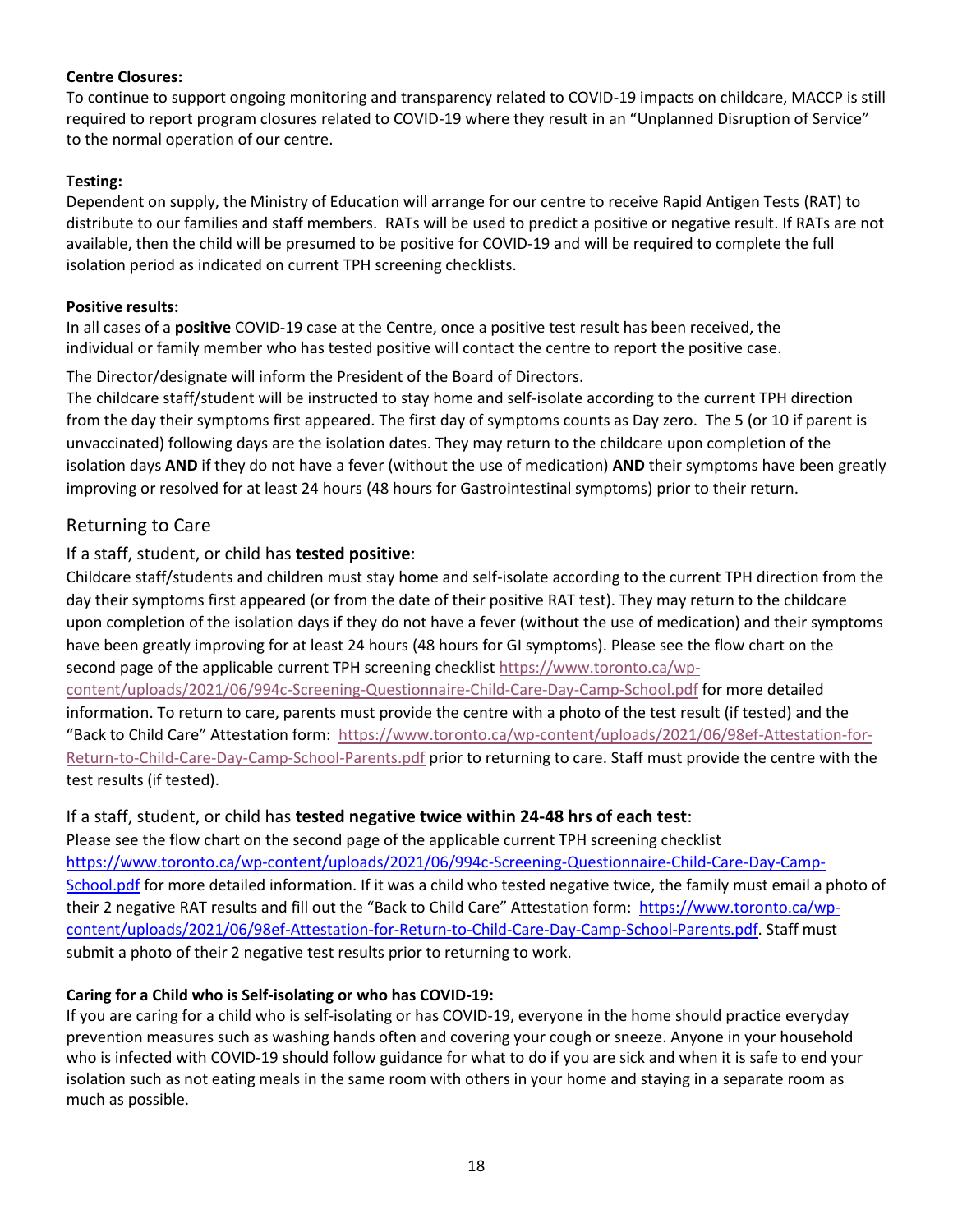#### **Centre Closures:**

To continue to support ongoing monitoring and transparency related to COVID-19 impacts on childcare, MACCP is still required to report program closures related to COVID-19 where they result in an "Unplanned Disruption of Service" to the normal operation of our centre.

#### **Testing:**

Dependent on supply, the Ministry of Education will arrange for our centre to receive Rapid Antigen Tests (RAT) to distribute to our families and staff members. RATs will be used to predict a positive or negative result. If RATs are not available, then the child will be presumed to be positive for COVID-19 and will be required to complete the full isolation period as indicated on current TPH screening checklists.

#### **Positive results:**

In all cases of a **positive** COVID-19 case at the Centre, once a positive test result has been received, the individual or family member who has tested positive will contact the centre to report the positive case.

The Director/designate will inform the President of the Board of Directors.

The childcare staff/student will be instructed to stay home and self-isolate according to the current TPH direction from the day their symptoms first appeared. The first day of symptoms counts as Day zero. The 5 (or 10 if parent is unvaccinated) following days are the isolation dates. They may return to the childcare upon completion of the isolation days **AND** if they do not have a fever (without the use of medication) **AND** their symptoms have been greatly improving or resolved for at least 24 hours (48 hours for Gastrointestinal symptoms) prior to their return.

## <span id="page-18-0"></span>Returning to Care

## <span id="page-18-1"></span>If a staff, student, or child has **tested positive**:

Childcare staff/students and children must stay home and self-isolate according to the current TPH direction from the day their symptoms first appeared (or from the date of their positive RAT test). They may return to the childcare upon completion of the isolation days if they do not have a fever (without the use of medication) and their symptoms have been greatly improving for at least 24 hours (48 hours for GI symptoms). Please see the flow chart on the second page of the applicable current TPH screening checklis[t https://www.toronto.ca/wp](https://www.toronto.ca/wp-content/uploads/2021/06/994c-Screening-Questionnaire-Child-Care-Day-Camp-School.pdf)[content/uploads/2021/06/994c-Screening-Questionnaire-Child-Care-Day-Camp-School.pdf](https://www.toronto.ca/wp-content/uploads/2021/06/994c-Screening-Questionnaire-Child-Care-Day-Camp-School.pdf) for more detailed

information. To return to care, parents must provide the centre with a photo of the test result (if tested) and the "Back to Child Care" Attestation form: [https://www.toronto.ca/wp-content/uploads/2021/06/98ef-Attestation-for-](https://www.toronto.ca/wp-content/uploads/2021/06/98ef-Attestation-for-Return-to-Child-Care-Day-Camp-School-Parents.pdf)[Return-to-Child-Care-Day-Camp-School-Parents.pdf](https://www.toronto.ca/wp-content/uploads/2021/06/98ef-Attestation-for-Return-to-Child-Care-Day-Camp-School-Parents.pdf) prior to returning to care. Staff must provide the centre with the test results (if tested).

#### <span id="page-18-2"></span>If a staff, student, or child has **tested negative twice within 24-48 hrs of each test**:

Please see the flow chart on the second page of the applicable current TPH screening checklist [https://www.toronto.ca/wp-content/uploads/2021/06/994c-Screening-Questionnaire-Child-Care-Day-Camp-](https://www.toronto.ca/wp-content/uploads/2021/06/994c-Screening-Questionnaire-Child-Care-Day-Camp-School.pdf)[School.pdf](https://www.toronto.ca/wp-content/uploads/2021/06/994c-Screening-Questionnaire-Child-Care-Day-Camp-School.pdf) for more detailed information. If it was a child who tested negative twice, the family must email a photo of their 2 negative RAT results and fill out the "Back to Child Care" Attestation form: [https://www.toronto.ca/wp](https://www.toronto.ca/wp-content/uploads/2021/06/98ef-Attestation-for-Return-to-Child-Care-Day-Camp-School-Parents.pdf)[content/uploads/2021/06/98ef-Attestation-for-Return-to-Child-Care-Day-Camp-School-Parents.pdf.](https://www.toronto.ca/wp-content/uploads/2021/06/98ef-Attestation-for-Return-to-Child-Care-Day-Camp-School-Parents.pdf) Staff must submit a photo of their 2 negative test results prior to returning to work.

## **Caring for a Child who is Self-isolating or who has COVID-19:**

If you are caring for a child who is self-isolating or has COVID-19, everyone in the home should practice everyday prevention measures such as washing hands often and covering your cough or sneeze. Anyone in your household who is infected with COVID-19 should follow guidance for what to do if you are sick and when it is safe to end your isolation such as not eating meals in the same room with others in your home and staying in a separate room as much as possible.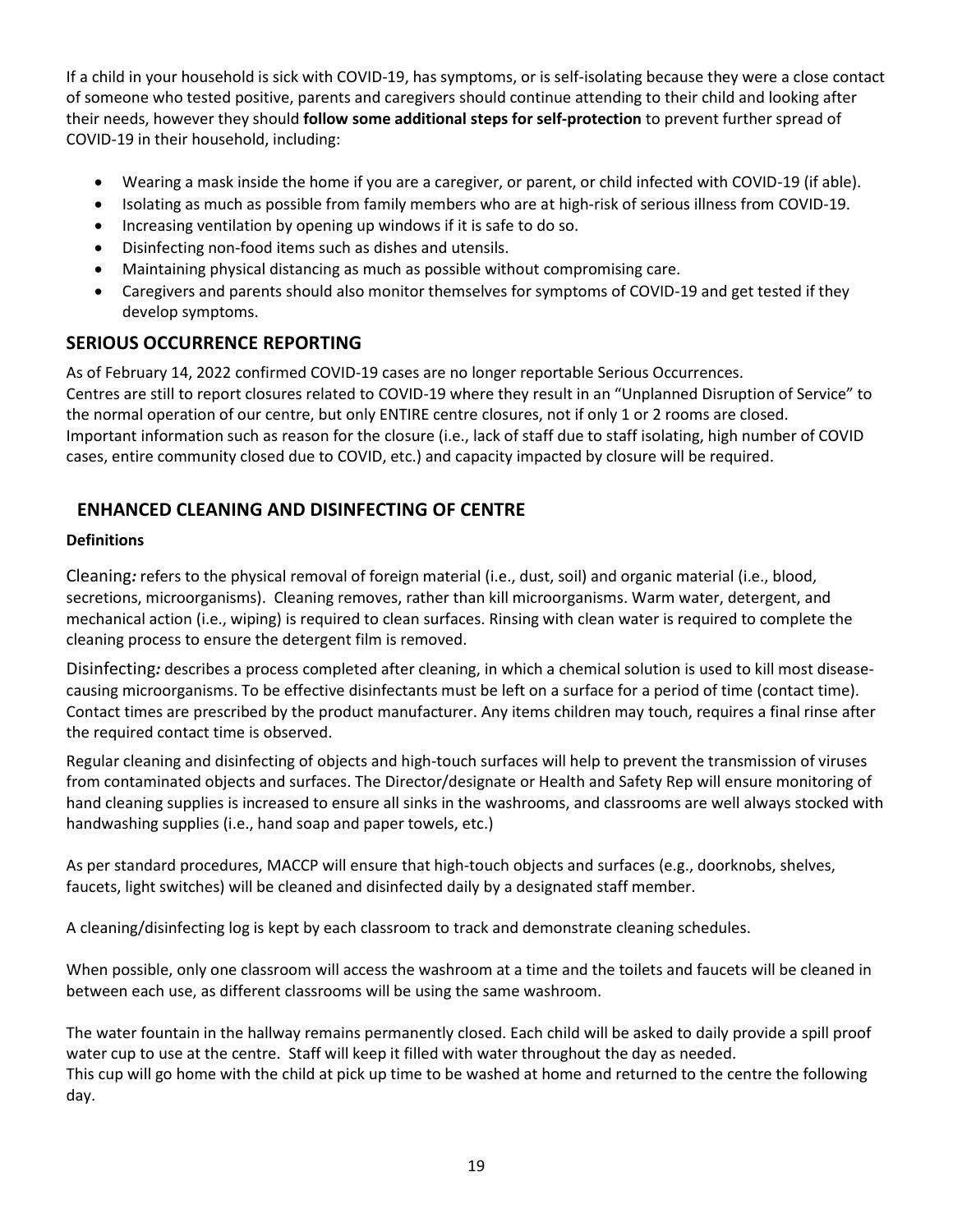If a child in your household is sick with COVID-19, has symptoms, or is self-isolating because they were a close contact of someone who tested positive, parents and caregivers should continue attending to their child and looking after their needs, however they should **follow some additional steps for self-protection** to prevent further spread of COVID-19 in their household, including:

- Wearing a mask inside the home if you are a caregiver, or parent, or child infected with COVID-19 (if able).
- Isolating as much as possible from family members who are at high-risk of serious illness from COVID-19.
- Increasing ventilation by opening up windows if it is safe to do so.
- Disinfecting non-food items such as dishes and utensils.
- Maintaining physical distancing as much as possible without compromising care.
- Caregivers and parents should also monitor themselves for symptoms of COVID-19 and get tested if they develop symptoms.

## <span id="page-19-0"></span>**SERIOUS OCCURRENCE REPORTING**

As of February 14, 2022 confirmed COVID-19 cases are no longer reportable Serious Occurrences. Centres are still to report closures related to COVID-19 where they result in an "Unplanned Disruption of Service" to the normal operation of our centre, but only ENTIRE centre closures, not if only 1 or 2 rooms are closed. Important information such as reason for the closure (i.e., lack of staff due to staff isolating, high number of COVID cases, entire community closed due to COVID, etc.) and capacity impacted by closure will be required.

# <span id="page-19-1"></span>**ENHANCED CLEANING AND DISINFECTING OF CENTRE**

#### **Definitions**

<span id="page-19-2"></span>Cleaning*:* refers to the physical removal of foreign material (i.e., dust, soil) and organic material (i.e., blood, secretions, microorganisms). Cleaning removes, rather than kill microorganisms. Warm water, detergent, and mechanical action (i.e., wiping) is required to clean surfaces. Rinsing with clean water is required to complete the cleaning process to ensure the detergent film is removed.

<span id="page-19-3"></span>Disinfecting*:* describes a process completed after cleaning, in which a chemical solution is used to kill most diseasecausing microorganisms. To be effective disinfectants must be left on a surface for a period of time (contact time). Contact times are prescribed by the product manufacturer. Any items children may touch, requires a final rinse after the required contact time is observed.

Regular cleaning and disinfecting of objects and high-touch surfaces will help to prevent the transmission of viruses from contaminated objects and surfaces. The Director/designate or Health and Safety Rep will ensure monitoring of hand cleaning supplies is increased to ensure all sinks in the washrooms, and classrooms are well always stocked with handwashing supplies (i.e., hand soap and paper towels, etc.)

As per standard procedures, MACCP will ensure that high-touch objects and surfaces (e.g., doorknobs, shelves, faucets, light switches) will be cleaned and disinfected daily by a designated staff member.

A cleaning/disinfecting log is kept by each classroom to track and demonstrate cleaning schedules.

When possible, only one classroom will access the washroom at a time and the toilets and faucets will be cleaned in between each use, as different classrooms will be using the same washroom.

The water fountain in the hallway remains permanently closed. Each child will be asked to daily provide a spill proof water cup to use at the centre. Staff will keep it filled with water throughout the day as needed. This cup will go home with the child at pick up time to be washed at home and returned to the centre the following day.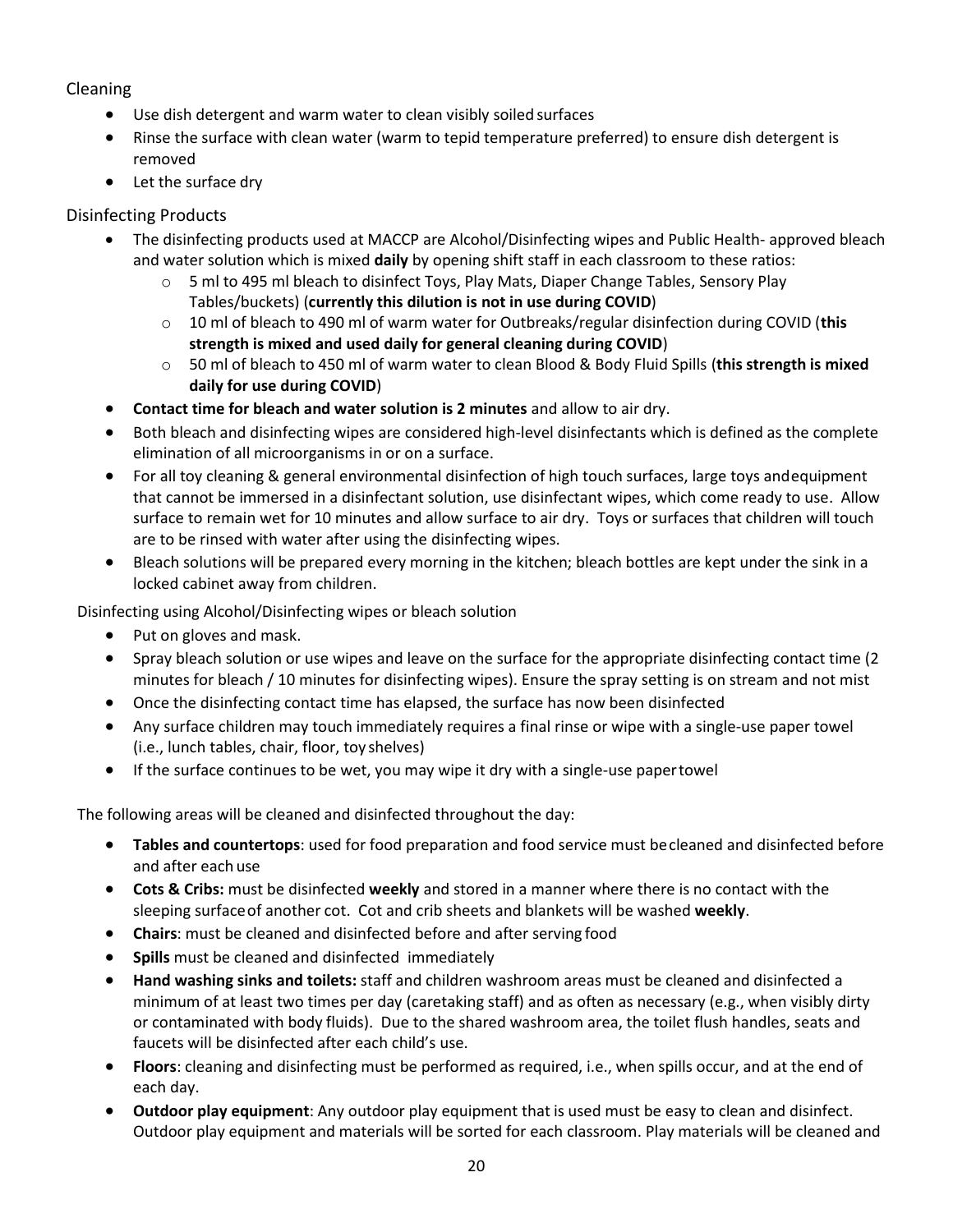#### <span id="page-20-0"></span>Cleaning

- Use dish detergent and warm water to clean visibly soiled surfaces
- Rinse the surface with clean water (warm to tepid temperature preferred) to ensure dish detergent is removed
- Let the surface dry

#### <span id="page-20-1"></span>Disinfecting Products

- The disinfecting products used at MACCP are Alcohol/Disinfecting wipes and Public Health- approved bleach and water solution which is mixed **daily** by opening shift staff in each classroom to these ratios:
	- o 5 ml to 495 ml bleach to disinfect Toys, Play Mats, Diaper Change Tables, Sensory Play Tables/buckets) (**currently this dilution is not in use during COVID**)
	- o 10 ml of bleach to 490 ml of warm water for Outbreaks/regular disinfection during COVID (**this strength is mixed and used daily for general cleaning during COVID**)
	- o 50 ml of bleach to 450 ml of warm water to clean Blood & Body Fluid Spills (**this strength is mixed daily for use during COVID**)
- **Contact time for bleach and water solution is 2 minutes** and allow to air dry.
- Both bleach and disinfecting wipes are considered high-level disinfectants which is defined as the complete elimination of all microorganisms in or on a surface.
- For all toy cleaning & general environmental disinfection of high touch surfaces, large toys andequipment that cannot be immersed in a disinfectant solution, use disinfectant wipes, which come ready to use. Allow surface to remain wet for 10 minutes and allow surface to air dry. Toys or surfaces that children will touch are to be rinsed with water after using the disinfecting wipes.
- Bleach solutions will be prepared every morning in the kitchen; bleach bottles are kept under the sink in a locked cabinet away from children.

Disinfecting using Alcohol/Disinfecting wipes or bleach solution

- Put on gloves and mask.
- Spray bleach solution or use wipes and leave on the surface for the appropriate disinfecting contact time (2 minutes for bleach / 10 minutes for disinfecting wipes). Ensure the spray setting is on stream and not mist
- Once the disinfecting contact time has elapsed, the surface has now been disinfected
- Any surface children may touch immediately requires a final rinse or wipe with a single-use paper towel (i.e., lunch tables, chair, floor, toy shelves)
- If the surface continues to be wet, you may wipe it dry with a single-use papertowel

The following areas will be cleaned and disinfected throughout the day:

- **Tables and countertops**: used for food preparation and food service must becleaned and disinfected before and after each use
- **Cots & Cribs:** must be disinfected **weekly** and stored in a manner where there is no contact with the sleeping surfaceof another cot. Cot and crib sheets and blankets will be washed **weekly**.
- **Chairs**: must be cleaned and disinfected before and after serving food
- **Spills** must be cleaned and disinfected immediately
- **Hand washing sinks and toilets:** staff and children washroom areas must be cleaned and disinfected a minimum of at least two times per day (caretaking staff) and as often as necessary (e.g., when visibly dirty or contaminated with body fluids). Due to the shared washroom area, the toilet flush handles, seats and faucets will be disinfected after each child's use.
- **Floors**: cleaning and disinfecting must be performed as required, i.e., when spills occur, and at the end of each day.
- **Outdoor play equipment**: Any outdoor play equipment that is used must be easy to clean and disinfect. Outdoor play equipment and materials will be sorted for each classroom. Play materials will be cleaned and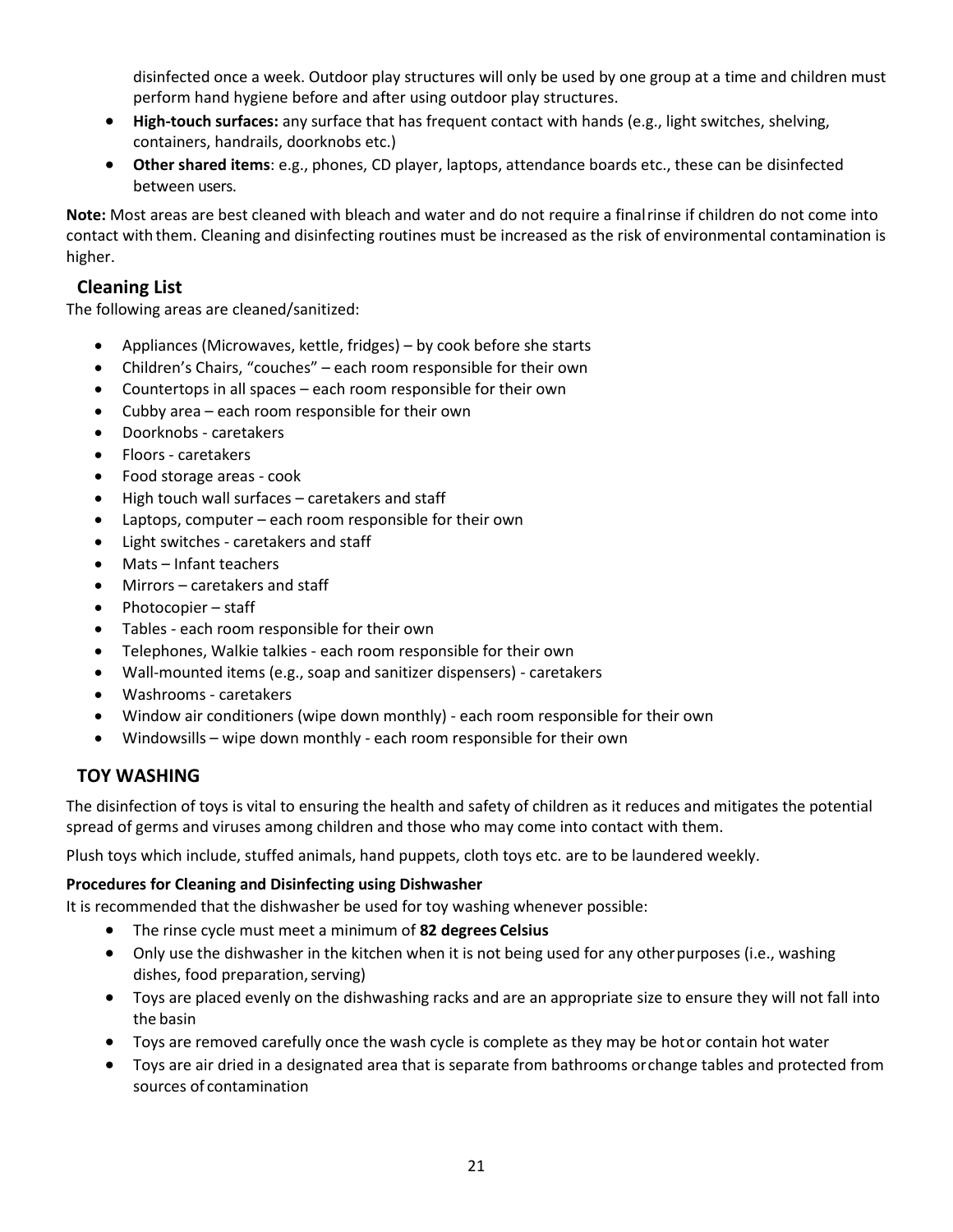disinfected once a week. Outdoor play structures will only be used by one group at a time and children must perform hand hygiene before and after using outdoor play structures.

- **High‐touch surfaces:** any surface that has frequent contact with hands (e.g., light switches, shelving, containers, handrails, doorknobs etc.)
- **Other shared items**: e.g., phones, CD player, laptops, attendance boards etc., these can be disinfected between users.

**Note:** Most areas are best cleaned with bleach and water and do not require a finalrinse if children do not come into contact with them. Cleaning and disinfecting routines must be increased as the risk of environmental contamination is higher.

## <span id="page-21-0"></span>**Cleaning List**

The following areas are cleaned/sanitized:

- Appliances (Microwaves, kettle, fridges) by cook before she starts
- Children's Chairs, "couches" each room responsible for their own
- Countertops in all spaces each room responsible for their own
- Cubby area each room responsible for their own
- Doorknobs caretakers
- Floors caretakers
- Food storage areas cook
- High touch wall surfaces caretakers and staff
- Laptops, computer each room responsible for their own
- Light switches caretakers and staff
- Mats Infant teachers
- Mirrors caretakers and staff
- Photocopier staff
- Tables each room responsible for their own
- Telephones, Walkie talkies each room responsible for their own
- Wall-mounted items (e.g., soap and sanitizer dispensers) caretakers
- Washrooms caretakers
- Window air conditioners (wipe down monthly) each room responsible for their own
- Windowsills wipe down monthly each room responsible for their own

## <span id="page-21-1"></span>**TOY WASHING**

The disinfection of toys is vital to ensuring the health and safety of children as it reduces and mitigates the potential spread of germs and viruses among children and those who may come into contact with them.

Plush toys which include, stuffed animals, hand puppets, cloth toys etc. are to be laundered weekly.

#### **Procedures for Cleaning and Disinfecting using Dishwasher**

It is recommended that the dishwasher be used for toy washing whenever possible:

- The rinse cycle must meet a minimum of **82 degrees Celsius**
- Only use the dishwasher in the kitchen when it is not being used for any otherpurposes (i.e., washing dishes, food preparation, serving)
- Toys are placed evenly on the dishwashing racks and are an appropriate size to ensure they will not fall into the basin
- Toys are removed carefully once the wash cycle is complete as they may be hotor contain hot water
- Toys are air dried in a designated area that is separate from bathrooms orchange tables and protected from sources of contamination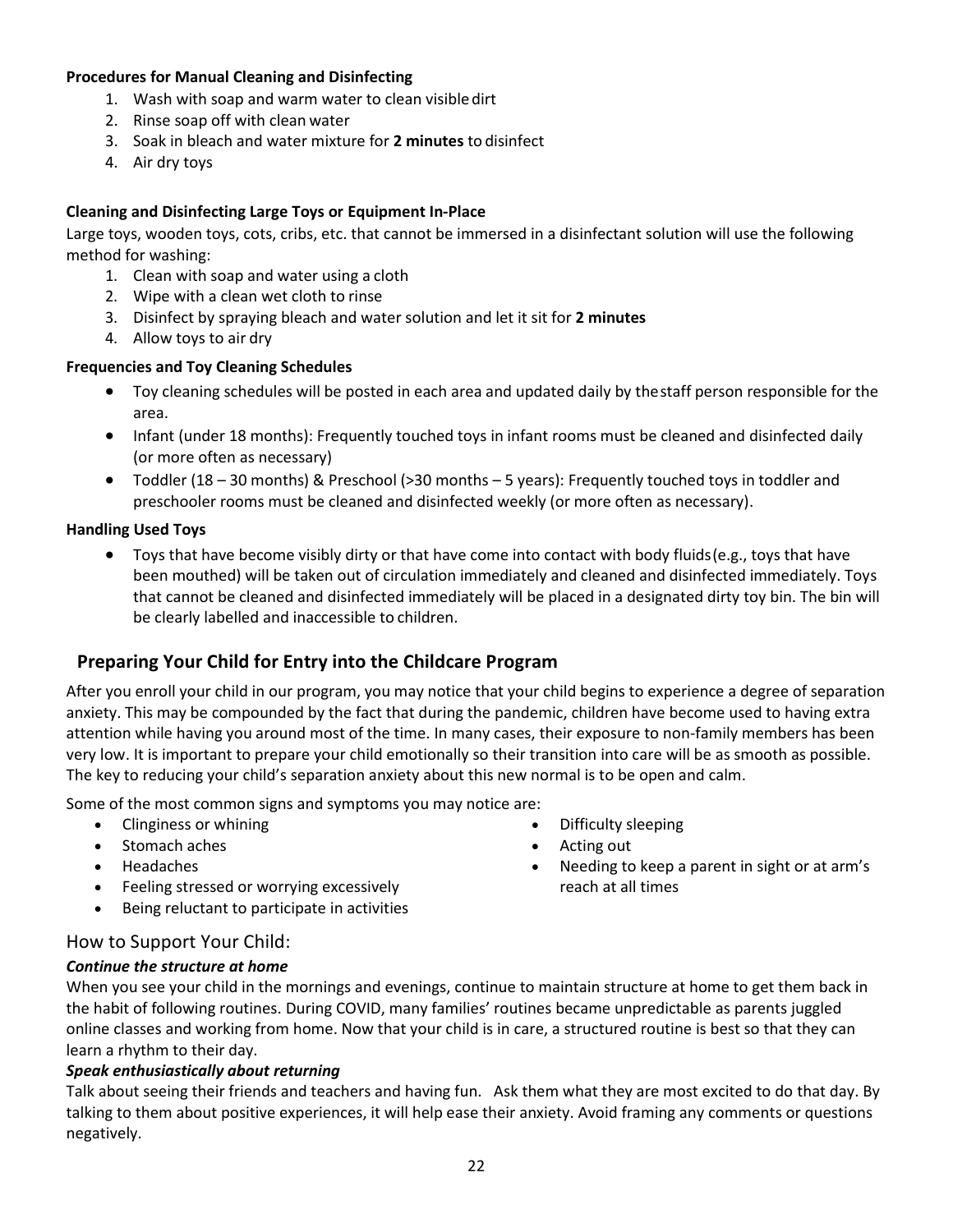#### **Procedures for Manual Cleaning and Disinfecting**

- 1. Wash with soap and warm water to clean visibledirt
- 2. Rinse soap off with clean water
- 3. Soak in bleach and water mixture for **2 minutes** to disinfect
- 4. Air dry toys

#### **Cleaning and Disinfecting Large Toys or Equipment In-Place**

Large toys, wooden toys, cots, cribs, etc. that cannot be immersed in a disinfectant solution will use the following method for washing:

- 1. Clean with soap and water using a cloth
- 2. Wipe with a clean wet cloth to rinse
- 3. Disinfect by spraying bleach and water solution and let it sit for **2 minutes**
- 4. Allow toys to air dry

#### **Frequencies and Toy Cleaning Schedules**

- Toy cleaning schedules will be posted in each area and updated daily by thestaff person responsible for the area.
- Infant (under 18 months): Frequently touched toys in infant rooms must be cleaned and disinfected daily (or more often as necessary)
- Toddler (18 30 months) & Preschool (>30 months 5 years): Frequently touched toys in toddler and preschooler rooms must be cleaned and disinfected weekly (or more often as necessary).

#### **Handling Used Toys**

• Toys that have become visibly dirty or that have come into contact with body fluids(e.g., toys that have been mouthed) will be taken out of circulation immediately and cleaned and disinfected immediately. Toys that cannot be cleaned and disinfected immediately will be placed in a designated dirty toy bin. The bin will be clearly labelled and inaccessible to children.

## <span id="page-22-0"></span>**Preparing Your Child for Entry into the Childcare Program**

After you enroll your child in our program, you may notice that your child begins to experience a degree of separation anxiety. This may be compounded by the fact that during the pandemic, children have become used to having extra attention while having you around most of the time. In many cases, their exposure to non-family members has been very low. It is important to prepare your child emotionally so their transition into care will be as smooth as possible. The key to reducing your child's separation anxiety about this new normal is to be open and calm.

Some of the most common signs and symptoms you may notice are:

- Clinginess or whining
- Stomach aches
- Headaches
- Feeling stressed or worrying excessively
- Being reluctant to participate in activities
- Difficulty sleeping • Acting out
- Needing to keep a parent in sight or at arm's reach at all times

#### <span id="page-22-1"></span>How to Support Your Child:

#### *Continue the structure at home*

When you see your child in the mornings and evenings, continue to maintain structure at home to get them back in the habit of following routines. During COVID, many families' routines became unpredictable as parents juggled online classes and working from home. Now that your child is in care, a structured routine is best so that they can learn a rhythm to their day.

#### *Speak enthusiastically about returning*

Talk about seeing their friends and teachers and having fun. Ask them what they are most excited to do that day. By talking to them about positive experiences, it will help ease their anxiety. Avoid framing any comments or questions negatively.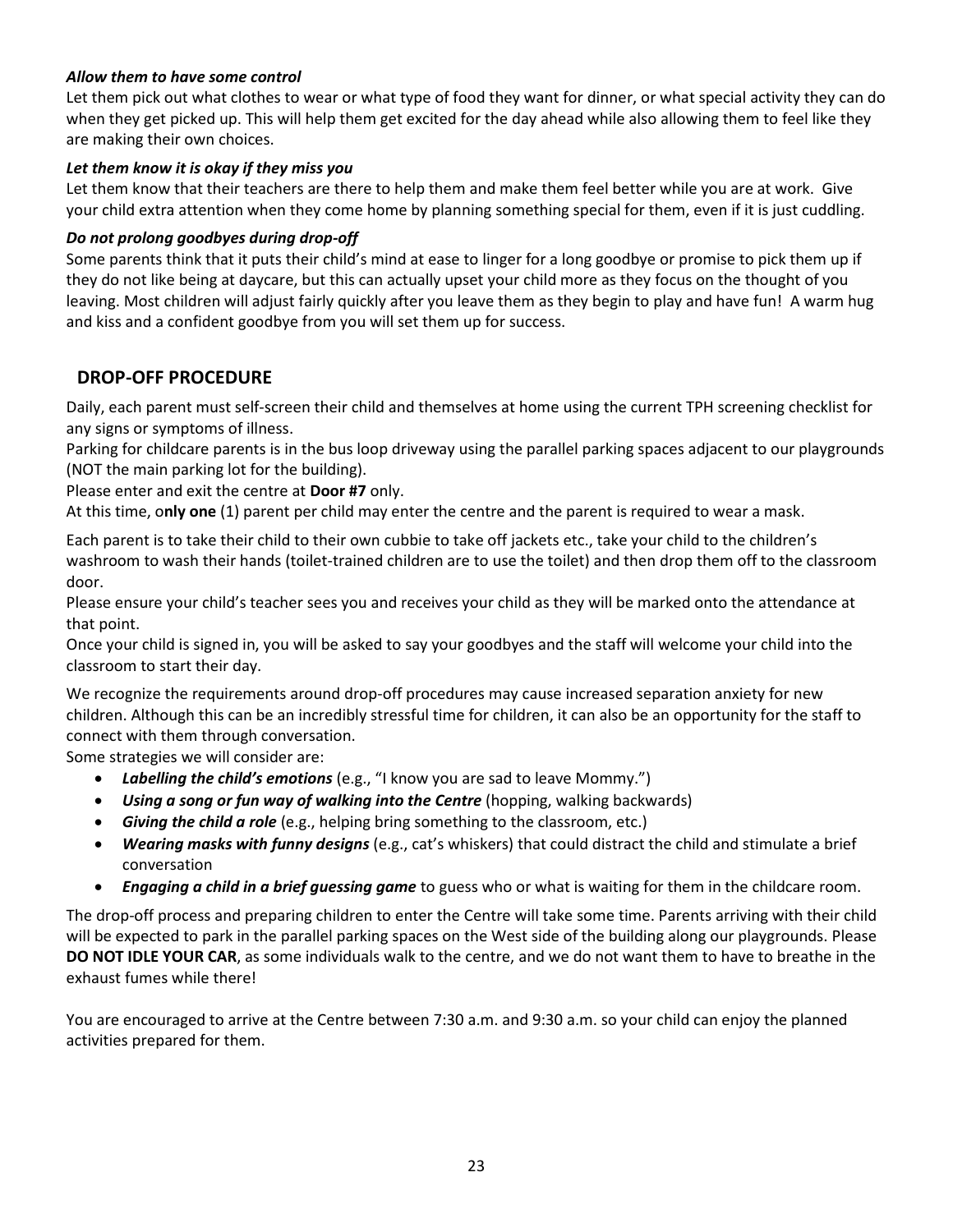#### *Allow them to have some control*

Let them pick out what clothes to wear or what type of food they want for dinner, or what special activity they can do when they get picked up. This will help them get excited for the day ahead while also allowing them to feel like they are making their own choices.

#### *Let them know it is okay if they miss you*

Let them know that their teachers are there to help them and make them feel better while you are at work. Give your child extra attention when they come home by planning something special for them, even if it is just cuddling.

#### *Do not prolong goodbyes during drop-off*

Some parents think that it puts their child's mind at ease to linger for a long goodbye or promise to pick them up if they do not like being at daycare, but this can actually upset your child more as they focus on the thought of you leaving. Most children will adjust fairly quickly after you leave them as they begin to play and have fun! A warm hug and kiss and a confident goodbye from you will set them up for success.

## <span id="page-23-0"></span>**DROP-OFF PROCEDURE**

Daily, each parent must self-screen their child and themselves at home using the current TPH screening checklist for any signs or symptoms of illness.

Parking for childcare parents is in the bus loop driveway using the parallel parking spaces adjacent to our playgrounds (NOT the main parking lot for the building).

Please enter and exit the centre at **Door #7** only.

At this time, o**nly one** (1) parent per child may enter the centre and the parent is required to wear a mask.

Each parent is to take their child to their own cubbie to take off jackets etc., take your child to the children's washroom to wash their hands (toilet-trained children are to use the toilet) and then drop them off to the classroom door.

Please ensure your child's teacher sees you and receives your child as they will be marked onto the attendance at that point.

Once your child is signed in, you will be asked to say your goodbyes and the staff will welcome your child into the classroom to start their day.

We recognize the requirements around drop-off procedures may cause increased separation anxiety for new children. Although this can be an incredibly stressful time for children, it can also be an opportunity for the staff to connect with them through conversation.

Some strategies we will consider are:

- *Labelling the child's emotions* (e.g., "I know you are sad to leave Mommy.")
- *Using a song or fun way of walking into the Centre* (hopping, walking backwards)
- *Giving the child a role* (e.g., helping bring something to the classroom, etc.)
- *Wearing masks with funny designs* (e.g., cat's whiskers) that could distract the child and stimulate a brief conversation
- *Engaging a child in a brief guessing game* to guess who or what is waiting for them in the childcare room.

The drop-off process and preparing children to enter the Centre will take some time. Parents arriving with their child will be expected to park in the parallel parking spaces on the West side of the building along our playgrounds. Please **DO NOT IDLE YOUR CAR**, as some individuals walk to the centre, and we do not want them to have to breathe in the exhaust fumes while there!

You are encouraged to arrive at the Centre between 7:30 a.m. and 9:30 a.m. so your child can enjoy the planned activities prepared for them.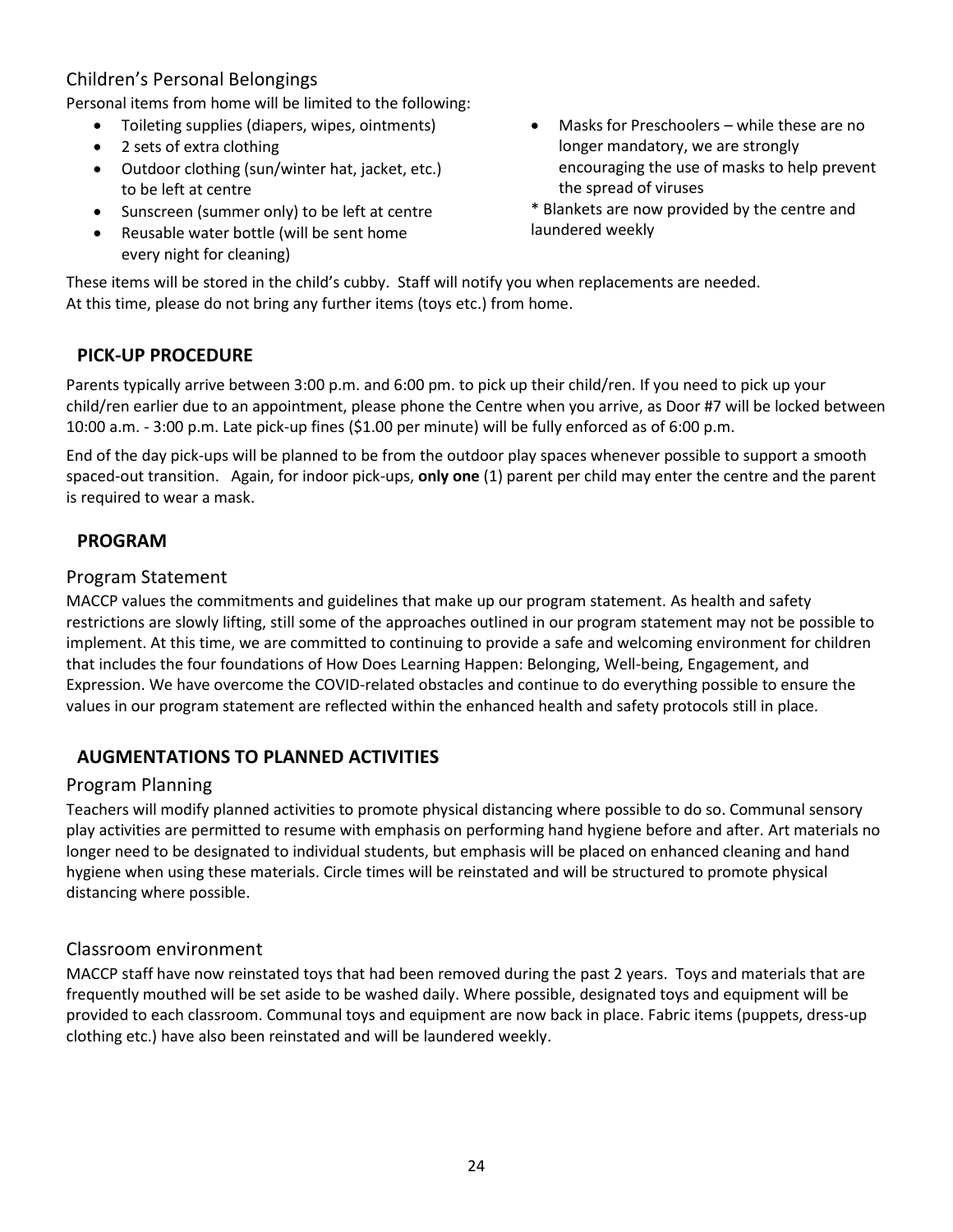# <span id="page-24-0"></span>Children's Personal Belongings

Personal items from home will be limited to the following:

- Toileting supplies (diapers, wipes, ointments)
- 2 sets of extra clothing
- Outdoor clothing (sun/winter hat, jacket, etc.) to be left at centre
- Sunscreen (summer only) to be left at centre
- Reusable water bottle (will be sent home every night for cleaning)
- Masks for Preschoolers while these are no longer mandatory, we are strongly encouraging the use of masks to help prevent the spread of viruses
- \* Blankets are now provided by the centre and laundered weekly

These items will be stored in the child's cubby. Staff will notify you when replacements are needed. At this time, please do not bring any further items (toys etc.) from home.

## <span id="page-24-1"></span>**PICK-UP PROCEDURE**

Parents typically arrive between 3:00 p.m. and 6:00 pm. to pick up their child/ren. If you need to pick up your child/ren earlier due to an appointment, please phone the Centre when you arrive, as Door #7 will be locked between 10:00 a.m. - 3:00 p.m. Late pick-up fines (\$1.00 per minute) will be fully enforced as of 6:00 p.m.

End of the day pick-ups will be planned to be from the outdoor play spaces whenever possible to support a smooth spaced-out transition. Again, for indoor pick-ups, **only one** (1) parent per child may enter the centre and the parent is required to wear a mask.

# <span id="page-24-2"></span>**PROGRAM**

#### <span id="page-24-3"></span>Program Statement

MACCP values the commitments and guidelines that make up our program statement. As health and safety restrictions are slowly lifting, still some of the approaches outlined in our program statement may not be possible to implement. At this time, we are committed to continuing to provide a safe and welcoming environment for children that includes the four foundations of How Does Learning Happen: Belonging, Well-being, Engagement, and Expression. We have overcome the COVID-related obstacles and continue to do everything possible to ensure the values in our program statement are reflected within the enhanced health and safety protocols still in place.

# <span id="page-24-4"></span>**AUGMENTATIONS TO PLANNED ACTIVITIES**

## <span id="page-24-5"></span>Program Planning

Teachers will modify planned activities to promote physical distancing where possible to do so. Communal sensory play activities are permitted to resume with emphasis on performing hand hygiene before and after. Art materials no longer need to be designated to individual students, but emphasis will be placed on enhanced cleaning and hand hygiene when using these materials. Circle times will be reinstated and will be structured to promote physical distancing where possible.

## <span id="page-24-6"></span>Classroom environment

MACCP staff have now reinstated toys that had been removed during the past 2 years. Toys and materials that are frequently mouthed will be set aside to be washed daily. Where possible, designated toys and equipment will be provided to each classroom. Communal toys and equipment are now back in place. Fabric items (puppets, dress-up clothing etc.) have also been reinstated and will be laundered weekly.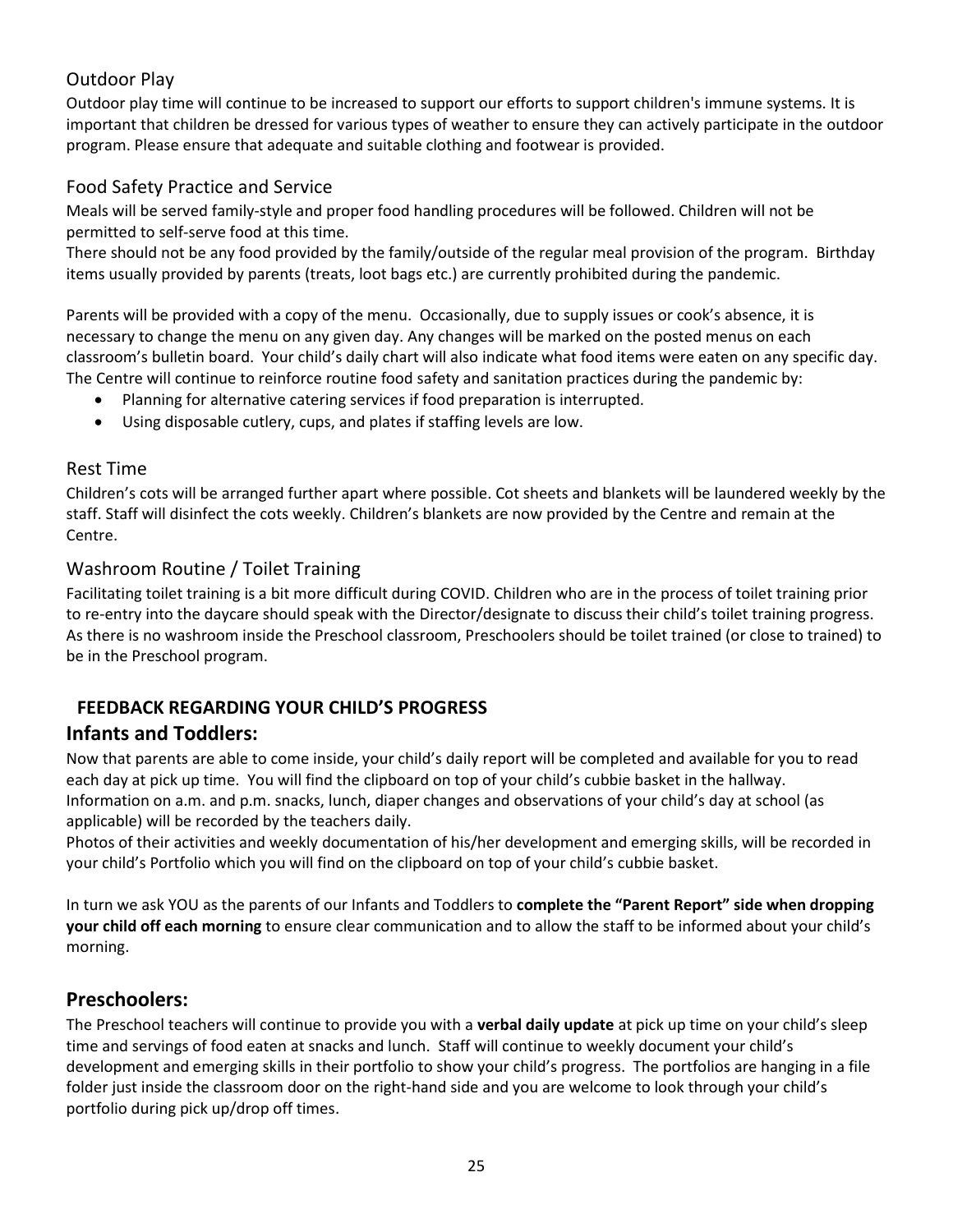# <span id="page-25-0"></span>Outdoor Play

Outdoor play time will continue to be increased to support our efforts to support children's immune systems. It is important that children be dressed for various types of weather to ensure they can actively participate in the outdoor program. Please ensure that adequate and suitable clothing and footwear is provided.

## <span id="page-25-1"></span>Food Safety Practice and Service

Meals will be served family-style and proper food handling procedures will be followed. Children will not be permitted to self-serve food at this time.

There should not be any food provided by the family/outside of the regular meal provision of the program. Birthday items usually provided by parents (treats, loot bags etc.) are currently prohibited during the pandemic.

Parents will be provided with a copy of the menu. Occasionally, due to supply issues or cook's absence, it is necessary to change the menu on any given day. Any changes will be marked on the posted menus on each classroom's bulletin board. Your child's daily chart will also indicate what food items were eaten on any specific day. The Centre will continue to reinforce routine food safety and sanitation practices during the pandemic by:

- Planning for alternative catering services if food preparation is interrupted.
- Using disposable cutlery, cups, and plates if staffing levels are low.

## <span id="page-25-2"></span>Rest Time

Children's cots will be arranged further apart where possible. Cot sheets and blankets will be laundered weekly by the staff. Staff will disinfect the cots weekly. Children's blankets are now provided by the Centre and remain at the Centre.

#### <span id="page-25-3"></span>Washroom Routine / Toilet Training

Facilitating toilet training is a bit more difficult during COVID. Children who are in the process of toilet training prior to re-entry into the daycare should speak with the Director/designate to discuss their child's toilet training progress. As there is no washroom inside the Preschool classroom, Preschoolers should be toilet trained (or close to trained) to be in the Preschool program.

# <span id="page-25-4"></span>**FEEDBACK REGARDING YOUR CHILD'S PROGRESS**

# **Infants and Toddlers:**

Now that parents are able to come inside, your child's daily report will be completed and available for you to read each day at pick up time. You will find the clipboard on top of your child's cubbie basket in the hallway. Information on a.m. and p.m. snacks, lunch, diaper changes and observations of your child's day at school (as applicable) will be recorded by the teachers daily.

Photos of their activities and weekly documentation of his/her development and emerging skills, will be recorded in your child's Portfolio which you will find on the clipboard on top of your child's cubbie basket.

In turn we ask YOU as the parents of our Infants and Toddlers to **complete the "Parent Report" side when dropping your child off each morning** to ensure clear communication and to allow the staff to be informed about your child's morning.

# **Preschoolers:**

The Preschool teachers will continue to provide you with a **verbal daily update** at pick up time on your child's sleep time and servings of food eaten at snacks and lunch. Staff will continue to weekly document your child's development and emerging skills in their portfolio to show your child's progress. The portfolios are hanging in a file folder just inside the classroom door on the right-hand side and you are welcome to look through your child's portfolio during pick up/drop off times.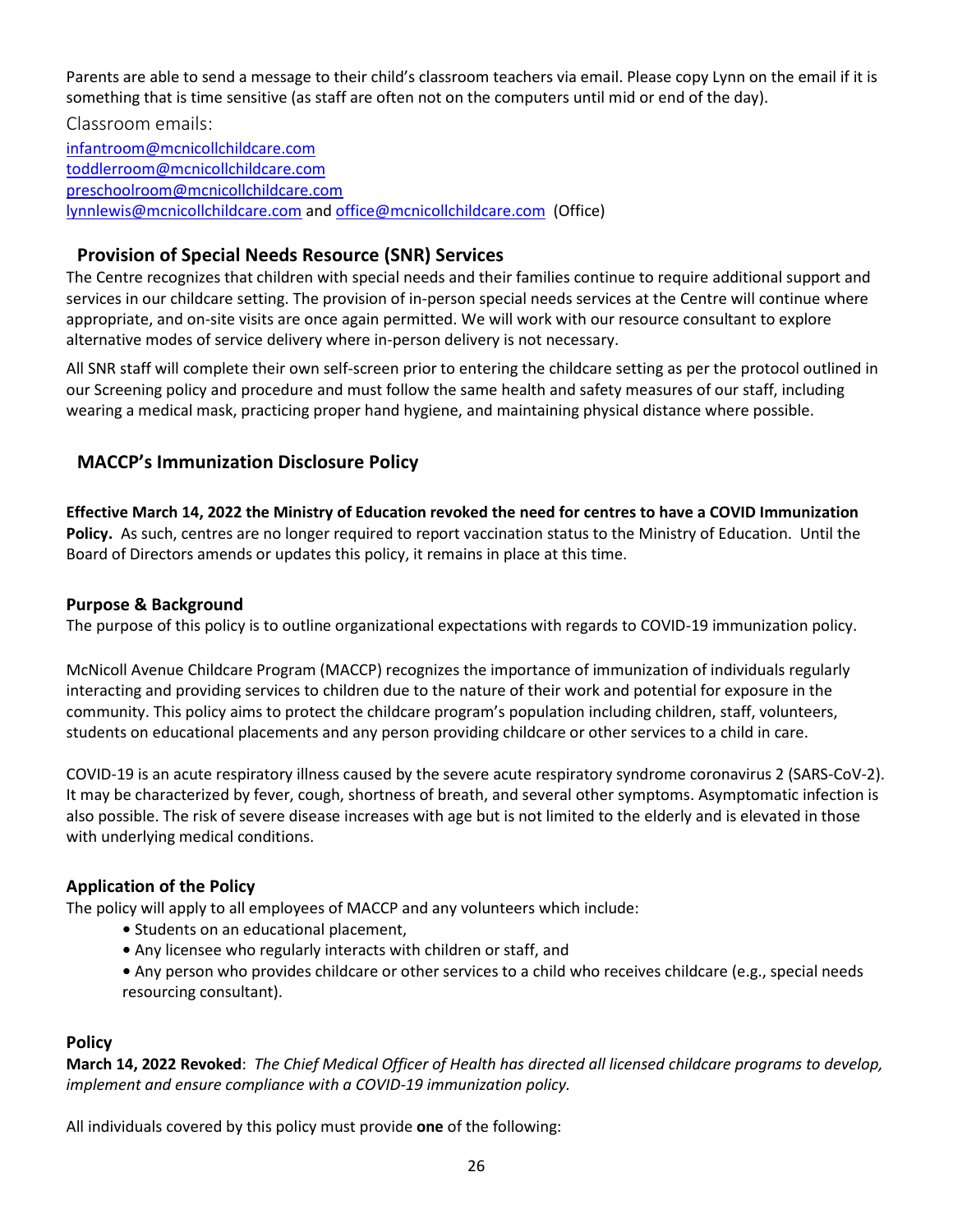Parents are able to send a message to their child's classroom teachers via email. Please copy Lynn on the email if it is something that is time sensitive (as staff are often not on the computers until mid or end of the day).

<span id="page-26-0"></span>Classroom emails: [infantroom@mcnicollchildcare.com](mailto:infantroom@mcnicollchildcare.com) [toddlerroom@mcnicollchildcare.com](mailto:toddlerroom@mcnicollchildcare.com) [preschoolroom@mcnicollchildcare.com](mailto:preschoolroom@mcnicollchildcare.com) [lynnlewis@mcnicollchildcare.com](mailto:lynnlewis@mcnicollchildcare.com) an[d office@mcnicollchildcare.com](mailto:office@mcnicollchildcare.com) (Office)

## <span id="page-26-1"></span>**Provision of Special Needs Resource (SNR) Services**

The Centre recognizes that children with special needs and their families continue to require additional support and services in our childcare setting. The provision of in-person special needs services at the Centre will continue where appropriate, and on-site visits are once again permitted. We will work with our resource consultant to explore alternative modes of service delivery where in-person delivery is not necessary.

All SNR staff will complete their own self-screen prior to entering the childcare setting as per the protocol outlined in our Screening policy and procedure and must follow the same health and safety measures of our staff, including wearing a medical mask, practicing proper hand hygiene, and maintaining physical distance where possible.

# <span id="page-26-2"></span>**MACCP's Immunization Disclosure Policy**

**Effective March 14, 2022 the Ministry of Education revoked the need for centres to have a COVID Immunization Policy.** As such, centres are no longer required to report vaccination status to the Ministry of Education. Until the Board of Directors amends or updates this policy, it remains in place at this time.

## **Purpose & Background**

The purpose of this policy is to outline organizational expectations with regards to COVID-19 immunization policy.

McNicoll Avenue Childcare Program (MACCP) recognizes the importance of immunization of individuals regularly interacting and providing services to children due to the nature of their work and potential for exposure in the community. This policy aims to protect the childcare program's population including children, staff, volunteers, students on educational placements and any person providing childcare or other services to a child in care.

COVID-19 is an acute respiratory illness caused by the severe acute respiratory syndrome coronavirus 2 (SARS-CoV-2). It may be characterized by fever, cough, shortness of breath, and several other symptoms. Asymptomatic infection is also possible. The risk of severe disease increases with age but is not limited to the elderly and is elevated in those with underlying medical conditions.

## **Application of the Policy**

The policy will apply to all employees of MACCP and any volunteers which include:

- Students on an educational placement,
- Any licensee who regularly interacts with children or staff, and
- Any person who provides childcare or other services to a child who receives childcare (e.g., special needs resourcing consultant).

## **Policy**

**March 14, 2022 Revoked**: *The Chief Medical Officer of Health has directed all licensed childcare programs to develop, implement and ensure compliance with a COVID-19 immunization policy.*

All individuals covered by this policy must provide **one** of the following: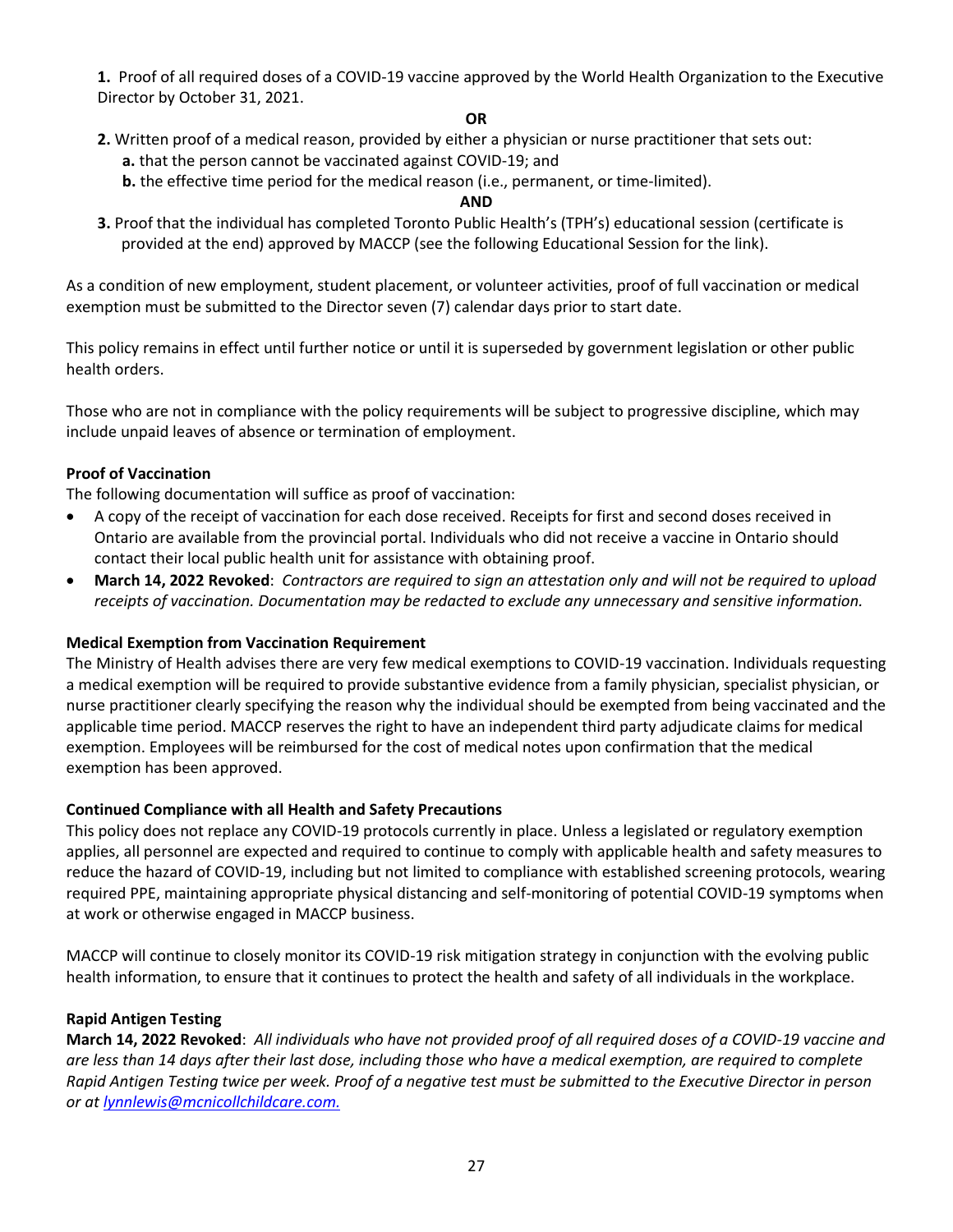**1.** Proof of all required doses of a COVID-19 vaccine approved by the World Health Organization to the Executive Director by October 31, 2021.

#### **OR**

- **2.** Written proof of a medical reason, provided by either a physician or nurse practitioner that sets out: **a.** that the person cannot be vaccinated against COVID-19; and
	- **b.** the effective time period for the medical reason (i.e., permanent, or time-limited).

#### **AND**

**3.** Proof that the individual has completed Toronto Public Health's (TPH's) educational session (certificate is provided at the end) approved by MACCP (see the following Educational Session for the link).

As a condition of new employment, student placement, or volunteer activities, proof of full vaccination or medical exemption must be submitted to the Director seven (7) calendar days prior to start date.

This policy remains in effect until further notice or until it is superseded by government legislation or other public health orders.

Those who are not in compliance with the policy requirements will be subject to progressive discipline, which may include unpaid leaves of absence or termination of employment.

#### **Proof of Vaccination**

The following documentation will suffice as proof of vaccination:

- A copy of the receipt of vaccination for each dose received. Receipts for first and second doses received in Ontario are available from the provincial portal. Individuals who did not receive a vaccine in Ontario should contact their local public health unit for assistance with obtaining proof.
- **March 14, 2022 Revoked**: *Contractors are required to sign an attestation only and will not be required to upload receipts of vaccination. Documentation may be redacted to exclude any unnecessary and sensitive information.*

#### **Medical Exemption from Vaccination Requirement**

The Ministry of Health advises there are very few medical exemptions to COVID-19 vaccination. Individuals requesting a medical exemption will be required to provide substantive evidence from a family physician, specialist physician, or nurse practitioner clearly specifying the reason why the individual should be exempted from being vaccinated and the applicable time period. MACCP reserves the right to have an independent third party adjudicate claims for medical exemption. Employees will be reimbursed for the cost of medical notes upon confirmation that the medical exemption has been approved.

#### **Continued Compliance with all Health and Safety Precautions**

This policy does not replace any COVID-19 protocols currently in place. Unless a legislated or regulatory exemption applies, all personnel are expected and required to continue to comply with applicable health and safety measures to reduce the hazard of COVID-19, including but not limited to compliance with established screening protocols, wearing required PPE, maintaining appropriate physical distancing and self-monitoring of potential COVID-19 symptoms when at work or otherwise engaged in MACCP business.

MACCP will continue to closely monitor its COVID-19 risk mitigation strategy in conjunction with the evolving public health information, to ensure that it continues to protect the health and safety of all individuals in the workplace.

#### **Rapid Antigen Testing**

**March 14, 2022 Revoked**: *All individuals who have not provided proof of all required doses of a COVID-19 vaccine and are less than 14 days after their last dose, including those who have a medical exemption, are required to complete Rapid Antigen Testing twice per week. Proof of a negative test must be submitted to the Executive Director in person or at [lynnlewis@mcnicollchildcare.com.](mailto:lynnlewis@mcnicollchildcare.com)*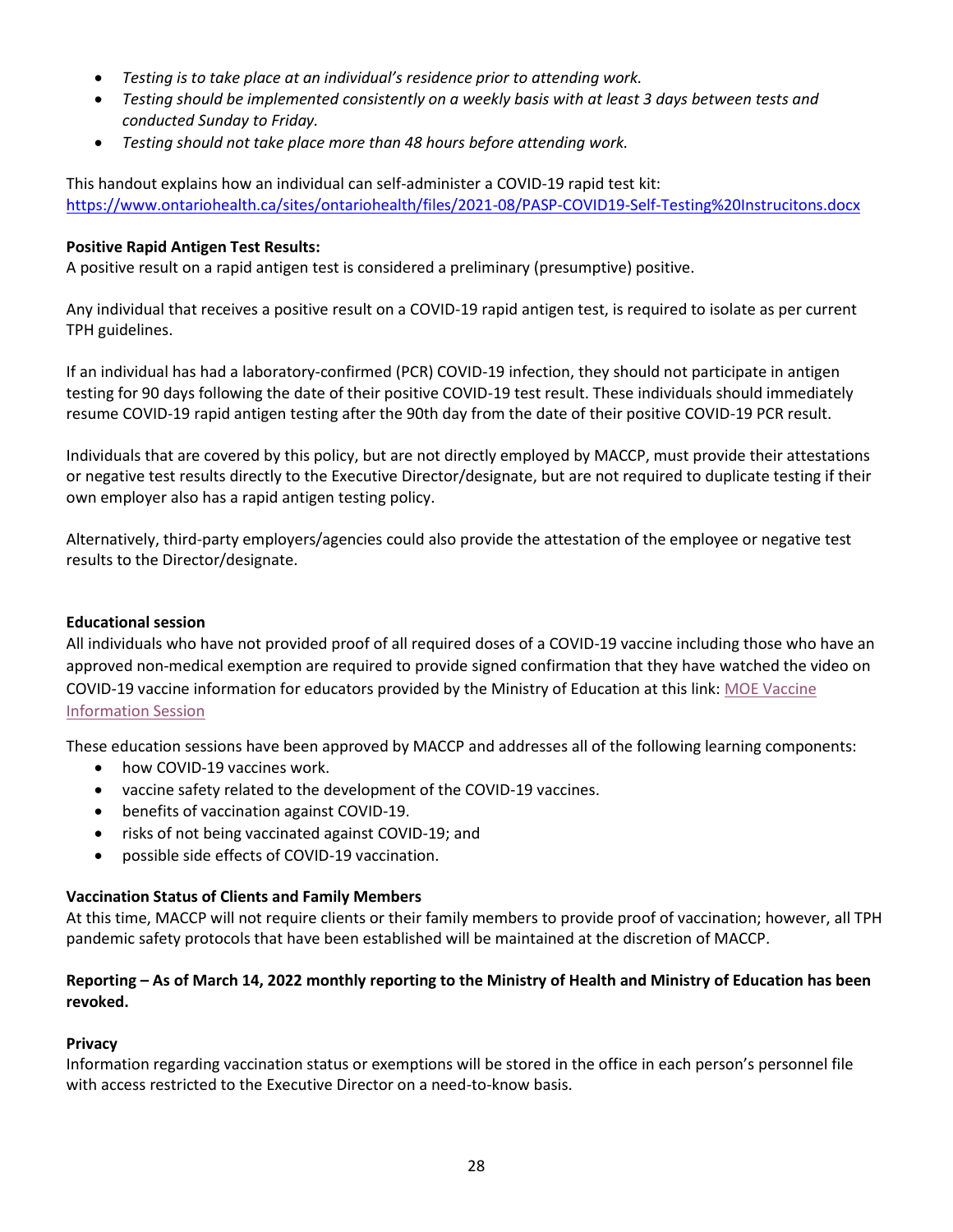- *Testing is to take place at an individual's residence prior to attending work.*
- *Testing should be implemented consistently on a weekly basis with at least 3 days between tests and conducted Sunday to Friday.*
- *Testing should not take place more than 48 hours before attending work.*

This handout explains how an individual can self-administer a COVID-19 rapid test kit: <https://www.ontariohealth.ca/sites/ontariohealth/files/2021-08/PASP-COVID19-Self-Testing%20Instrucitons.docx>

#### **Positive Rapid Antigen Test Results:**

A positive result on a rapid antigen test is considered a preliminary (presumptive) positive.

Any individual that receives a positive result on a COVID-19 rapid antigen test, is required to isolate as per current TPH guidelines.

If an individual has had a laboratory-confirmed (PCR) COVID-19 infection, they should not participate in antigen testing for 90 days following the date of their positive COVID-19 test result. These individuals should immediately resume COVID-19 rapid antigen testing after the 90th day from the date of their positive COVID-19 PCR result.

Individuals that are covered by this policy, but are not directly employed by MACCP, must provide their attestations or negative test results directly to the Executive Director/designate, but are not required to duplicate testing if their own employer also has a rapid antigen testing policy.

Alternatively, third-party employers/agencies could also provide the attestation of the employee or negative test results to the Director/designate.

#### **Educational session**

All individuals who have not provided proof of all required doses of a COVID-19 vaccine including those who have an approved non-medical exemption are required to provide signed confirmation that they have watched the video on COVID-19 vaccine information for educators provided by the Ministry of Education at this link: [MOE Vaccine](https://www.youtube.com/watch?v=lylv8yFnjcM)  [Information Session](https://www.youtube.com/watch?v=lylv8yFnjcM)

These education sessions have been approved by MACCP and addresses all of the following learning components:

- how COVID-19 vaccines work.
- vaccine safety related to the development of the COVID-19 vaccines.
- benefits of vaccination against COVID-19.
- risks of not being vaccinated against COVID-19; and
- possible side effects of COVID-19 vaccination.

#### **Vaccination Status of Clients and Family Members**

At this time, MACCP will not require clients or their family members to provide proof of vaccination; however, all TPH pandemic safety protocols that have been established will be maintained at the discretion of MACCP.

#### **Reporting – As of March 14, 2022 monthly reporting to the Ministry of Health and Ministry of Education has been revoked.**

#### **Privacy**

Information regarding vaccination status or exemptions will be stored in the office in each person's personnel file with access restricted to the Executive Director on a need-to-know basis.